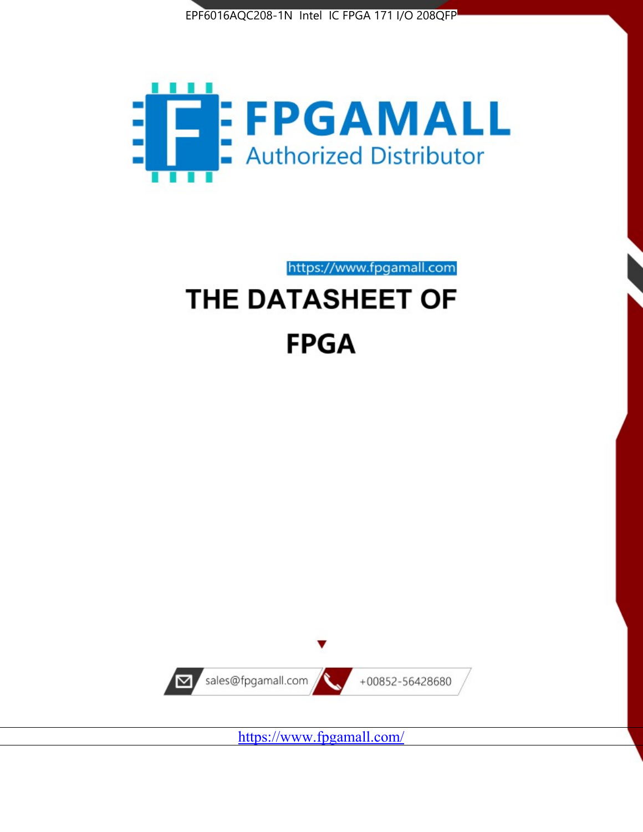



https://www.fpgamall.com

# THE DATASHEET OF **FPGA**



<https://www.fpgamall.com/>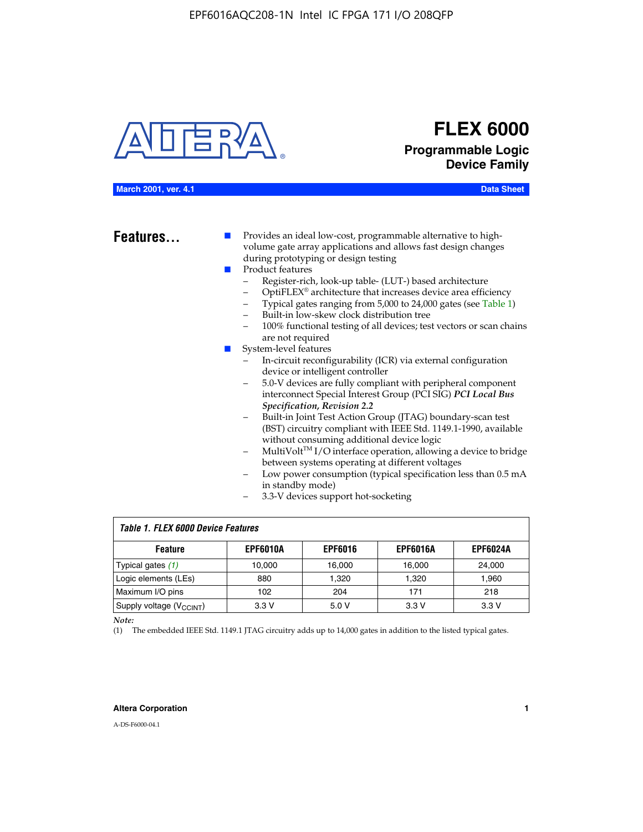

# **FLEX 6000 Programmable Logic Device Family**

#### **March 2001, ver. 4.1 Data Sheet**

**Features...** ■ Provides an ideal low-cost, programmable alternative to highvolume gate array applications and allows fast design changes during prototyping or design testing

- Product features
	- Register-rich, look-up table- (LUT-) based architecture
		- OptiFLEX® architecture that increases device area efficiency
	- Typical gates ranging from 5,000 to 24,000 gates (see Table 1)
	- Built-in low-skew clock distribution tree
	- 100% functional testing of all devices; test vectors or scan chains are not required
- System-level features
	- In-circuit reconfigurability (ICR) via external configuration device or intelligent controller
	- 5.0-V devices are fully compliant with peripheral component interconnect Special Interest Group (PCI SIG) *PCI Local Bus Specification, Revision 2.2*
	- Built-in Joint Test Action Group (JTAG) boundary-scan test (BST) circuitry compliant with IEEE Std. 1149.1-1990, available without consuming additional device logic
	- MultiVolt™ I/O interface operation, allowing a device to bridge between systems operating at different voltages
	- Low power consumption (typical specification less than 0.5 mA in standby mode)
	- 3.3-V devices support hot-socketing

| <b>Table 1. FLEX 6000 Device Features</b> |                 |                |                 |                 |  |  |  |
|-------------------------------------------|-----------------|----------------|-----------------|-----------------|--|--|--|
| <b>Feature</b>                            | <b>EPF6010A</b> | <b>EPF6016</b> | <b>EPF6016A</b> | <b>EPF6024A</b> |  |  |  |
| Typical gates $(1)$                       | 10.000          | 16.000         | 16.000          | 24.000          |  |  |  |
| Logic elements (LEs)                      | 880             | 1.320          | 1.320           | 1,960           |  |  |  |
| Maximum I/O pins                          | 102             | 204            | 171             | 218             |  |  |  |
| Supply voltage (V <sub>CCINT</sub> )      | 3.3V            | 5.0V           | 3.3V            | 3.3V            |  |  |  |

*Note:*

(1) The embedded IEEE Std. 1149.1 JTAG circuitry adds up to 14,000 gates in addition to the listed typical gates.

#### **Altera Corporation 1**

A-DS-F6000-04.1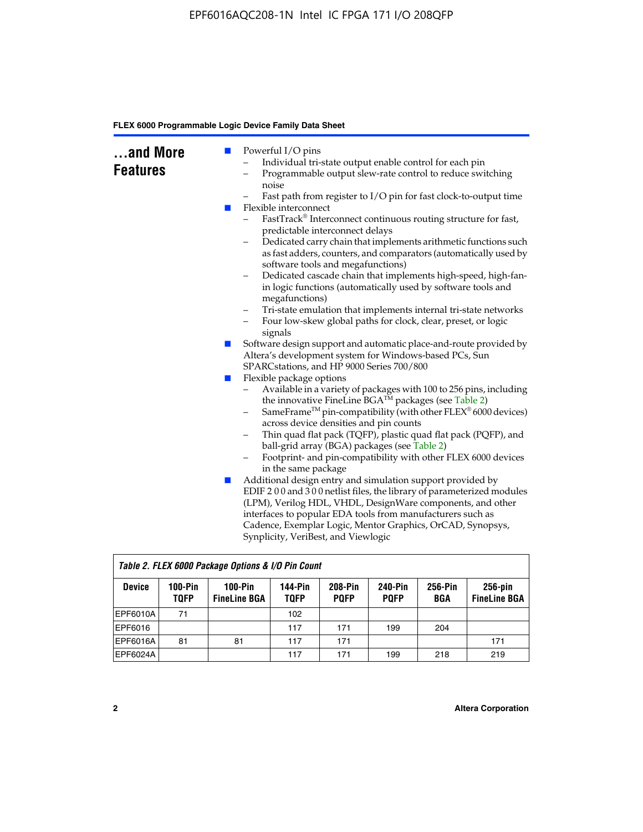| and More<br><b>Features</b> | <b>College</b><br><b>The Second Service</b> | Powerful I/O pins<br>Individual tri-state output enable control for each pin<br>Programmable output slew-rate control to reduce switching<br>noise<br>Fast path from register to I/O pin for fast clock-to-output time<br>Flexible interconnect<br>FastTrack® Interconnect continuous routing structure for fast,<br>predictable interconnect delays<br>Dedicated carry chain that implements arithmetic functions such<br>as fast adders, counters, and comparators (automatically used by<br>software tools and megafunctions)<br>Dedicated cascade chain that implements high-speed, high-fan-<br>$\qquad \qquad -$ |
|-----------------------------|---------------------------------------------|------------------------------------------------------------------------------------------------------------------------------------------------------------------------------------------------------------------------------------------------------------------------------------------------------------------------------------------------------------------------------------------------------------------------------------------------------------------------------------------------------------------------------------------------------------------------------------------------------------------------|
|                             |                                             | in logic functions (automatically used by software tools and<br>megafunctions)<br>Tri-state emulation that implements internal tri-state networks<br>$\qquad \qquad -$                                                                                                                                                                                                                                                                                                                                                                                                                                                 |
|                             |                                             | Four low-skew global paths for clock, clear, preset, or logic<br>-<br>signals<br>Software design support and automatic place-and-route provided by                                                                                                                                                                                                                                                                                                                                                                                                                                                                     |
|                             | $\Box$                                      | Altera's development system for Windows-based PCs, Sun<br>SPARCstations, and HP 9000 Series 700/800                                                                                                                                                                                                                                                                                                                                                                                                                                                                                                                    |
|                             | H                                           | Flexible package options<br>Available in a variety of packages with 100 to 256 pins, including<br>-<br>the innovative FineLine BGA™ packages (see Table 2)<br>SameFrame <sup>TM</sup> pin-compatibility (with other $FLEX^{\otimes}$ 6000 devices)<br>$\qquad \qquad -$<br>across device densities and pin counts<br>Thin quad flat pack (TQFP), plastic quad flat pack (PQFP), and<br>-<br>ball-grid array (BGA) packages (see Table 2)<br>Footprint- and pin-compatibility with other FLEX 6000 devices<br>in the same package                                                                                       |
|                             | $\mathbb{Z}$                                | Additional design entry and simulation support provided by<br>EDIF 200 and 300 netlist files, the library of parameterized modules<br>(LPM), Verilog HDL, VHDL, DesignWare components, and other<br>interfaces to popular EDA tools from manufacturers such as<br>Cadence, Exemplar Logic, Mentor Graphics, OrCAD, Synopsys,<br>Synplicity, VeriBest, and Viewlogic                                                                                                                                                                                                                                                    |

| Table 2. FLEX 6000 Package Options & I/O Pin Count |                          |                                  |                        |                               |                               |                |                                   |
|----------------------------------------------------|--------------------------|----------------------------------|------------------------|-------------------------------|-------------------------------|----------------|-----------------------------------|
| <b>Device</b>                                      | $100-Pin$<br><b>TQFP</b> | $100-Pin$<br><b>FineLine BGA</b> | 144-Pin<br><b>TOFP</b> | <b>208-Pin</b><br><b>POFP</b> | <b>240-Pin</b><br><b>POFP</b> | 256-Pin<br>BGA | $256$ -pin<br><b>FineLine BGA</b> |
| EPF6010A                                           | 71                       |                                  | 102                    |                               |                               |                |                                   |
| EPF6016                                            |                          |                                  | 117                    | 171                           | 199                           | 204            |                                   |
| IEPF6016A                                          | 81                       | 81                               | 117                    | 171                           |                               |                | 171                               |
| EPF6024A                                           |                          |                                  | 117                    | 171                           | 199                           | 218            | 219                               |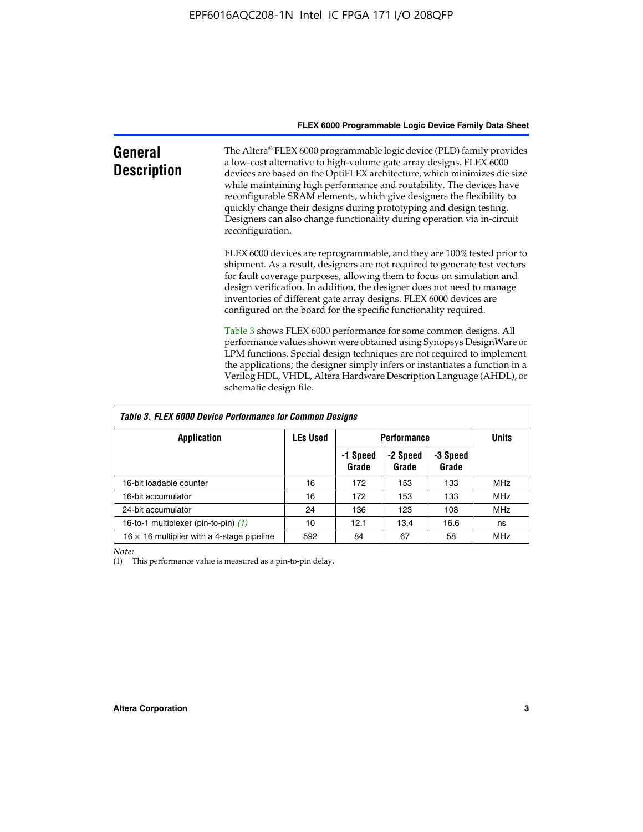| General<br><b>Description</b> | The Altera® FLEX 6000 programmable logic device (PLD) family provides<br>a low-cost alternative to high-volume gate array designs. FLEX 6000<br>devices are based on the OptiFLEX architecture, which minimizes die size<br>while maintaining high performance and routability. The devices have<br>reconfigurable SRAM elements, which give designers the flexibility to<br>quickly change their designs during prototyping and design testing.<br>Designers can also change functionality during operation via in-circuit<br>reconfiguration. |
|-------------------------------|-------------------------------------------------------------------------------------------------------------------------------------------------------------------------------------------------------------------------------------------------------------------------------------------------------------------------------------------------------------------------------------------------------------------------------------------------------------------------------------------------------------------------------------------------|
|                               | FLEX 6000 devices are reprogrammable, and they are 100% tested prior to<br>shipment. As a result, designers are not required to generate test vectors<br>for fault coverage purposes, allowing them to focus on simulation and<br>design verification. In addition, the designer does not need to manage<br>inventories of different gate array designs. FLEX 6000 devices are<br>configured on the board for the specific functionality required.                                                                                              |
|                               | Table 3 shows FLEX 6000 performance for some common designs. All<br>performance values shown were obtained using Synopsys DesignWare or<br>LPM functions. Special design techniques are not required to implement<br>the applications; the designer simply infers or instantiates a function in a<br>Verilog HDL, VHDL, Altera Hardware Description Language (AHDL), or<br>schematic design file.                                                                                                                                               |

| Table 3. FLEX 6000 Device Performance for Common Designs |                 |                    |                   |                   |            |  |
|----------------------------------------------------------|-----------------|--------------------|-------------------|-------------------|------------|--|
| <b>Application</b>                                       | <b>LEs Used</b> | <b>Performance</b> | <b>Units</b>      |                   |            |  |
|                                                          |                 | -1 Speed<br>Grade  | -2 Speed<br>Grade | -3 Speed<br>Grade |            |  |
| 16-bit loadable counter                                  | 16              | 172                | 153               | 133               | <b>MHz</b> |  |
| 16-bit accumulator                                       | 16              | 172                | 153               | 133               | <b>MHz</b> |  |
| 24-bit accumulator                                       | 24              | 136                | 123               | 108               | <b>MHz</b> |  |
| 16-to-1 multiplexer (pin-to-pin) (1)                     | 10              | 12.1               | 13.4              | 16.6              | ns         |  |
| $16 \times 16$ multiplier with a 4-stage pipeline        | 592             | 84                 | 67                | 58                | MHz        |  |

*Note:*

(1) This performance value is measured as a pin-to-pin delay.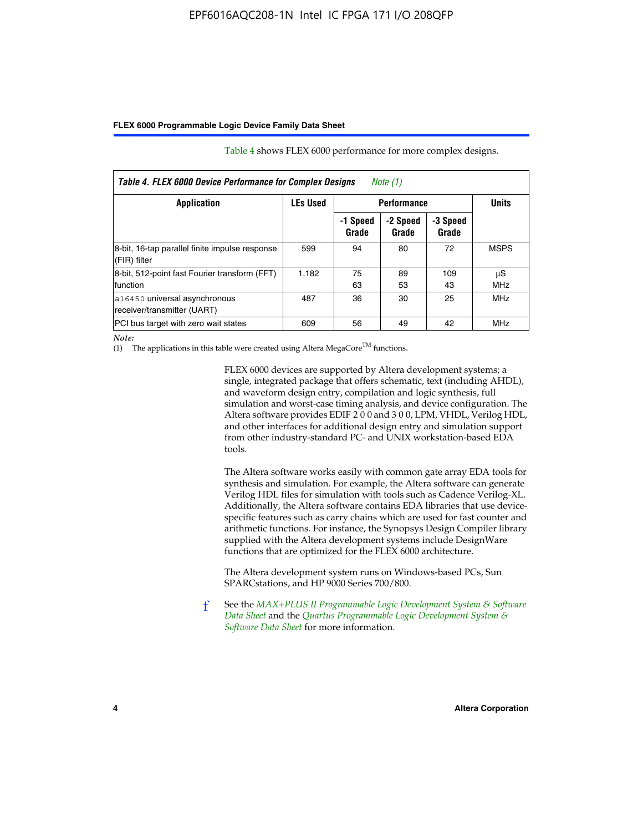| Table 4. FLEX 6000 Device Performance for Complex Designs<br>Note (1) |                                       |                   |                   |                   |                  |
|-----------------------------------------------------------------------|---------------------------------------|-------------------|-------------------|-------------------|------------------|
| Application                                                           | <b>LEs Used</b><br><b>Performance</b> |                   |                   | <b>Units</b>      |                  |
|                                                                       |                                       | -1 Speed<br>Grade | -2 Speed<br>Grade | -3 Speed<br>Grade |                  |
| 8-bit, 16-tap parallel finite impulse response<br>(FIR) filter        | 599                                   | 94                | 80                | 72                | <b>MSPS</b>      |
| 8-bit, 512-point fast Fourier transform (FFT)<br>function             | 1,182                                 | 75<br>63          | 89<br>53          | 109<br>43         | μS<br><b>MHz</b> |
| a16450 universal asynchronous<br>receiver/transmitter (UART)          | 487                                   | 36                | 30                | 25                | <b>MHz</b>       |
| PCI bus target with zero wait states                                  | 609                                   | 56                | 49                | 42                | MHz              |

Table 4 shows FLEX 6000 performance for more complex designs.

*Note:*

(1) The applications in this table were created using Altera MegaCore<sup>TM</sup> functions.

FLEX 6000 devices are supported by Altera development systems; a single, integrated package that offers schematic, text (including AHDL), and waveform design entry, compilation and logic synthesis, full simulation and worst-case timing analysis, and device configuration. The Altera software provides EDIF 2 0 0 and 3 0 0, LPM, VHDL, Verilog HDL, and other interfaces for additional design entry and simulation support from other industry-standard PC- and UNIX workstation-based EDA tools.

The Altera software works easily with common gate array EDA tools for synthesis and simulation. For example, the Altera software can generate Verilog HDL files for simulation with tools such as Cadence Verilog-XL. Additionally, the Altera software contains EDA libraries that use devicespecific features such as carry chains which are used for fast counter and arithmetic functions. For instance, the Synopsys Design Compiler library supplied with the Altera development systems include DesignWare functions that are optimized for the FLEX 6000 architecture.

The Altera development system runs on Windows-based PCs, Sun SPARCstations, and HP 9000 Series 700/800.

f See the *[MAX+PLUS II Programmable Logic Development System & Software](http://www.altera.com/literature/ds/dsmii.pdf)  [Data Sheet](http://www.altera.com/literature/ds/dsmii.pdf)* and the *[Quartus Programmable Logic Development System &](http://www.altera.com/literature/ds/quartus.pdf)  [Software Data Sheet](http://www.altera.com/literature/ds/quartus.pdf)* for more information.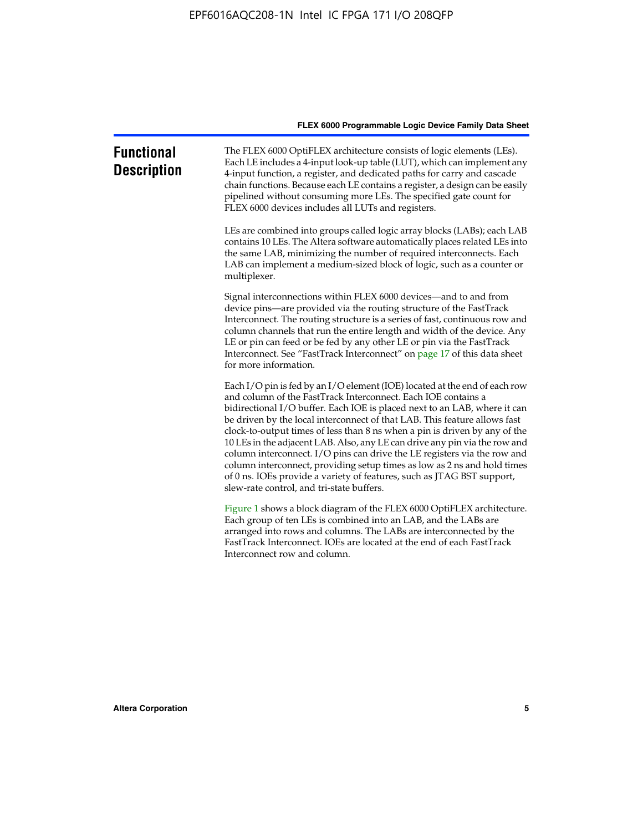| <b>Functional</b><br><b>Description</b> | The FLEX 6000 OptiFLEX architecture consists of logic elements (LEs).<br>Each LE includes a 4-input look-up table (LUT), which can implement any<br>4-input function, a register, and dedicated paths for carry and cascade<br>chain functions. Because each LE contains a register, a design can be easily<br>pipelined without consuming more LEs. The specified gate count for<br>FLEX 6000 devices includes all LUTs and registers.                                                                                                                                                                                                                                                                                                          |
|-----------------------------------------|--------------------------------------------------------------------------------------------------------------------------------------------------------------------------------------------------------------------------------------------------------------------------------------------------------------------------------------------------------------------------------------------------------------------------------------------------------------------------------------------------------------------------------------------------------------------------------------------------------------------------------------------------------------------------------------------------------------------------------------------------|
|                                         | LEs are combined into groups called logic array blocks (LABs); each LAB<br>contains 10 LEs. The Altera software automatically places related LEs into<br>the same LAB, minimizing the number of required interconnects. Each<br>LAB can implement a medium-sized block of logic, such as a counter or<br>multiplexer.                                                                                                                                                                                                                                                                                                                                                                                                                            |
|                                         | Signal interconnections within FLEX 6000 devices—and to and from<br>device pins—are provided via the routing structure of the FastTrack<br>Interconnect. The routing structure is a series of fast, continuous row and<br>column channels that run the entire length and width of the device. Any<br>LE or pin can feed or be fed by any other LE or pin via the FastTrack<br>Interconnect. See "FastTrack Interconnect" on page 17 of this data sheet<br>for more information.                                                                                                                                                                                                                                                                  |
|                                         | Each I/O pin is fed by an I/O element (IOE) located at the end of each row<br>and column of the FastTrack Interconnect. Each IOE contains a<br>bidirectional I/O buffer. Each IOE is placed next to an LAB, where it can<br>be driven by the local interconnect of that LAB. This feature allows fast<br>clock-to-output times of less than 8 ns when a pin is driven by any of the<br>10 LEs in the adjacent LAB. Also, any LE can drive any pin via the row and<br>column interconnect. I/O pins can drive the LE registers via the row and<br>column interconnect, providing setup times as low as 2 ns and hold times<br>of 0 ns. IOEs provide a variety of features, such as JTAG BST support,<br>slew-rate control, and tri-state buffers. |
|                                         | Figure 1 shows a block diagram of the FLEX 6000 OptiFLEX architecture.<br>Each group of ten LEs is combined into an LAB, and the LABs are<br>arranged into rows and columns. The LABs are interconnected by the<br>FastTrack Interconnect. IOEs are located at the end of each FastTrack<br>Interconnect row and column.                                                                                                                                                                                                                                                                                                                                                                                                                         |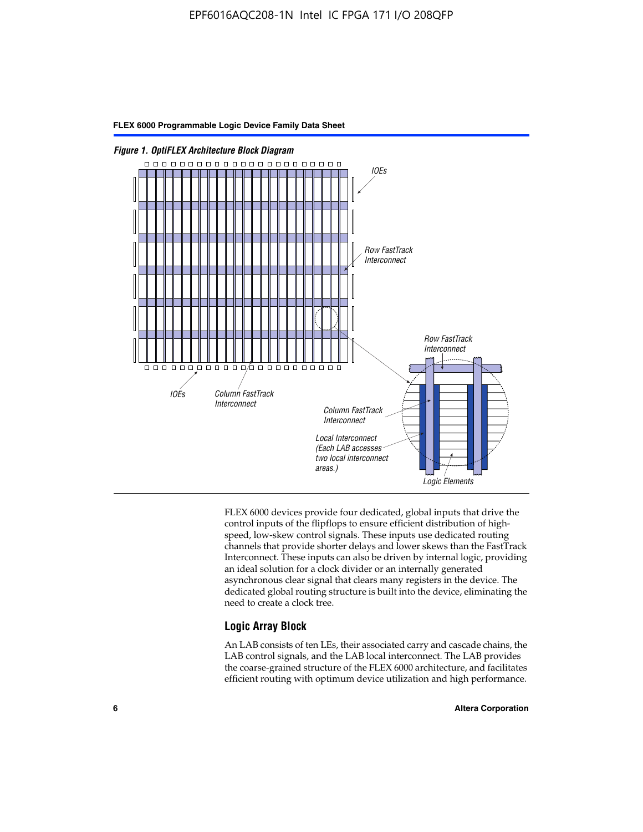

FLEX 6000 devices provide four dedicated, global inputs that drive the control inputs of the flipflops to ensure efficient distribution of highspeed, low-skew control signals. These inputs use dedicated routing channels that provide shorter delays and lower skews than the FastTrack Interconnect. These inputs can also be driven by internal logic, providing an ideal solution for a clock divider or an internally generated asynchronous clear signal that clears many registers in the device. The dedicated global routing structure is built into the device, eliminating the need to create a clock tree.

### **Logic Array Block**

An LAB consists of ten LEs, their associated carry and cascade chains, the LAB control signals, and the LAB local interconnect. The LAB provides the coarse-grained structure of the FLEX 6000 architecture, and facilitates efficient routing with optimum device utilization and high performance.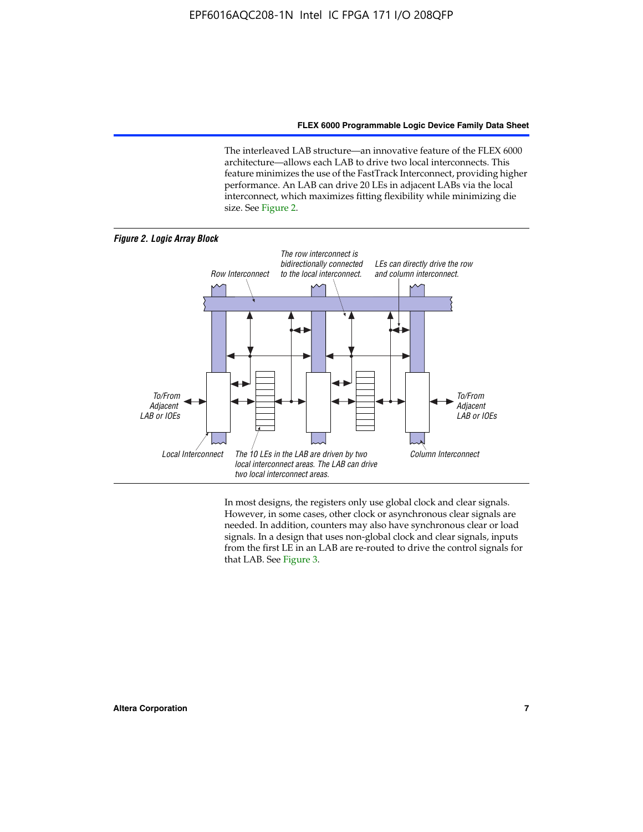The interleaved LAB structure—an innovative feature of the FLEX 6000 architecture—allows each LAB to drive two local interconnects. This feature minimizes the use of the FastTrack Interconnect, providing higher performance. An LAB can drive 20 LEs in adjacent LABs via the local interconnect, which maximizes fitting flexibility while minimizing die size. See Figure 2.



In most designs, the registers only use global clock and clear signals. However, in some cases, other clock or asynchronous clear signals are needed. In addition, counters may also have synchronous clear or load signals. In a design that uses non-global clock and clear signals, inputs from the first LE in an LAB are re-routed to drive the control signals for that LAB. See Figure 3.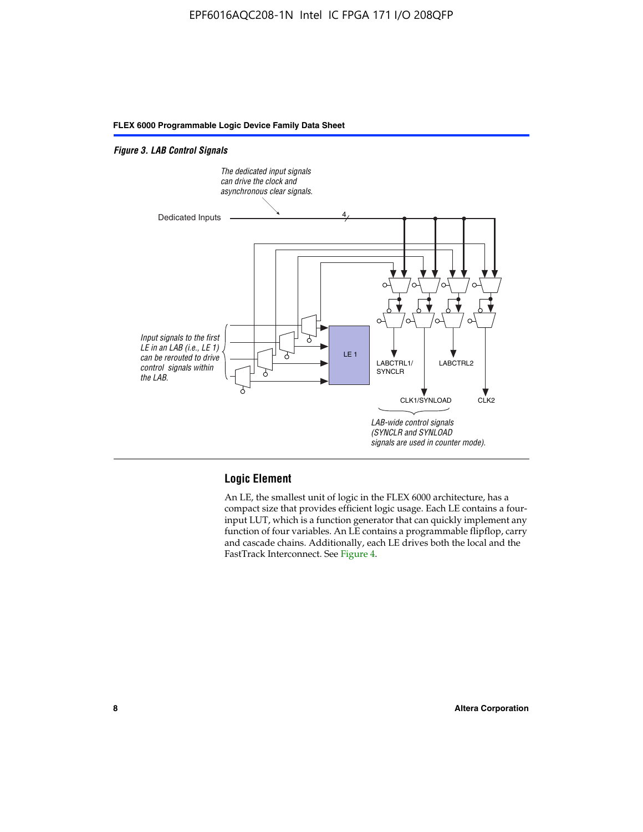#### *Figure 3. LAB Control Signals*



#### **Logic Element**

An LE, the smallest unit of logic in the FLEX 6000 architecture, has a compact size that provides efficient logic usage. Each LE contains a fourinput LUT, which is a function generator that can quickly implement any function of four variables. An LE contains a programmable flipflop, carry and cascade chains. Additionally, each LE drives both the local and the FastTrack Interconnect. See Figure 4.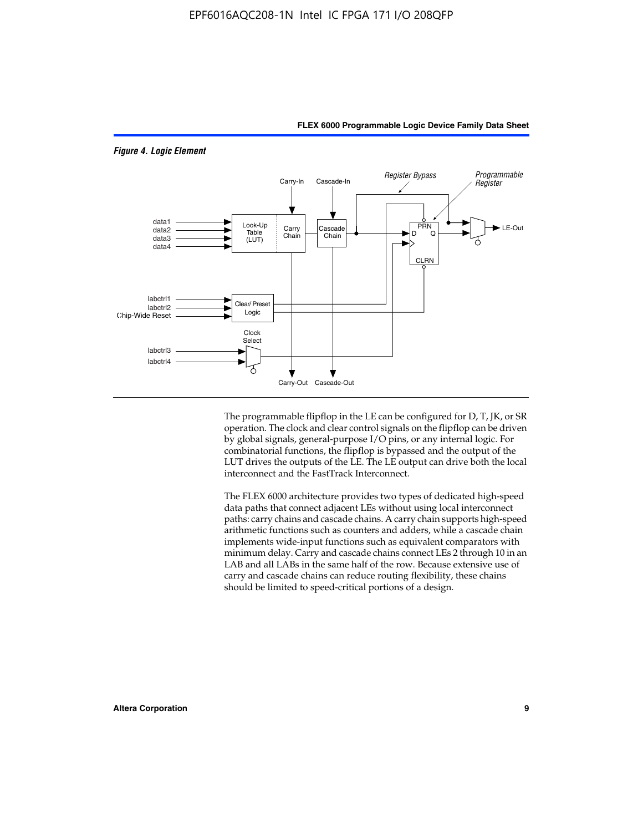

*Figure 4. Logic Element*

The programmable flipflop in the LE can be configured for D, T, JK, or SR operation. The clock and clear control signals on the flipflop can be driven by global signals, general-purpose I/O pins, or any internal logic. For combinatorial functions, the flipflop is bypassed and the output of the LUT drives the outputs of the LE. The LE output can drive both the local interconnect and the FastTrack Interconnect.

**FLEX 6000 Programmable Logic Device Family Data Sheet**

The FLEX 6000 architecture provides two types of dedicated high-speed data paths that connect adjacent LEs without using local interconnect paths: carry chains and cascade chains. A carry chain supports high-speed arithmetic functions such as counters and adders, while a cascade chain implements wide-input functions such as equivalent comparators with minimum delay. Carry and cascade chains connect LEs 2 through 10 in an LAB and all LABs in the same half of the row. Because extensive use of carry and cascade chains can reduce routing flexibility, these chains should be limited to speed-critical portions of a design.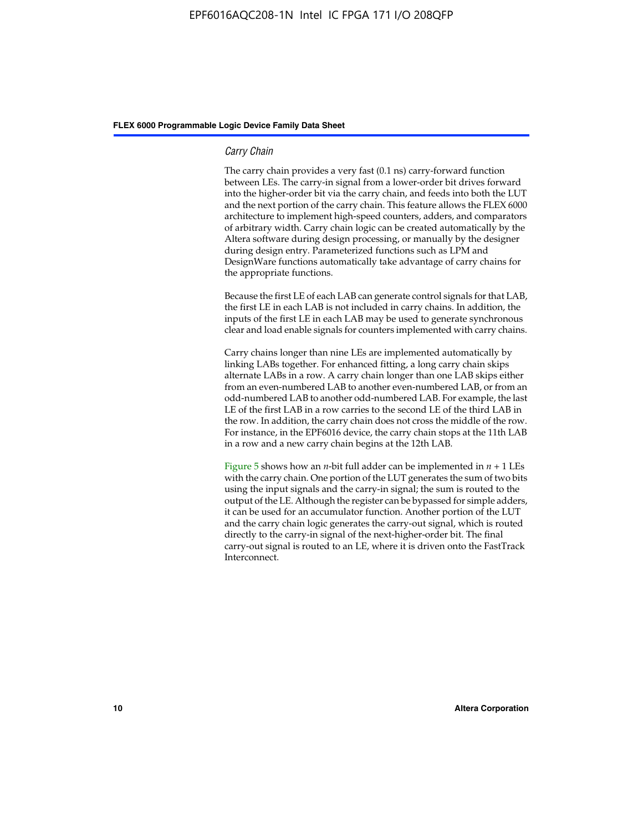#### *Carry Chain*

The carry chain provides a very fast (0.1 ns) carry-forward function between LEs. The carry-in signal from a lower-order bit drives forward into the higher-order bit via the carry chain, and feeds into both the LUT and the next portion of the carry chain. This feature allows the FLEX 6000 architecture to implement high-speed counters, adders, and comparators of arbitrary width. Carry chain logic can be created automatically by the Altera software during design processing, or manually by the designer during design entry. Parameterized functions such as LPM and DesignWare functions automatically take advantage of carry chains for the appropriate functions.

Because the first LE of each LAB can generate control signals for that LAB, the first LE in each LAB is not included in carry chains. In addition, the inputs of the first LE in each LAB may be used to generate synchronous clear and load enable signals for counters implemented with carry chains.

Carry chains longer than nine LEs are implemented automatically by linking LABs together. For enhanced fitting, a long carry chain skips alternate LABs in a row. A carry chain longer than one LAB skips either from an even-numbered LAB to another even-numbered LAB, or from an odd-numbered LAB to another odd-numbered LAB. For example, the last LE of the first LAB in a row carries to the second LE of the third LAB in the row. In addition, the carry chain does not cross the middle of the row. For instance, in the EPF6016 device, the carry chain stops at the 11th LAB in a row and a new carry chain begins at the 12th LAB.

Figure 5 shows how an *n*-bit full adder can be implemented in  $n + 1$  LEs with the carry chain. One portion of the LUT generates the sum of two bits using the input signals and the carry-in signal; the sum is routed to the output of the LE. Although the register can be bypassed for simple adders, it can be used for an accumulator function. Another portion of the LUT and the carry chain logic generates the carry-out signal, which is routed directly to the carry-in signal of the next-higher-order bit. The final carry-out signal is routed to an LE, where it is driven onto the FastTrack Interconnect.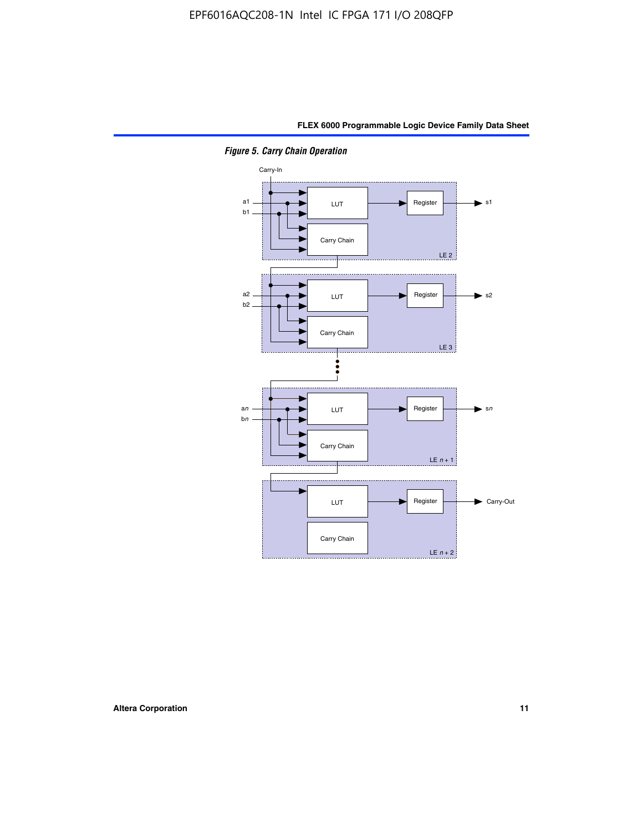

*Figure 5. Carry Chain Operation*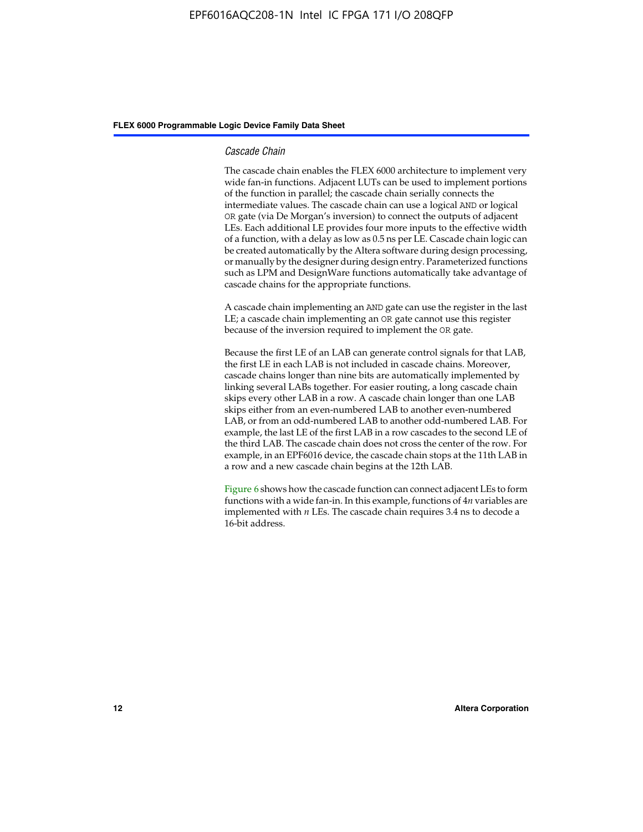#### *Cascade Chain*

The cascade chain enables the FLEX 6000 architecture to implement very wide fan-in functions. Adjacent LUTs can be used to implement portions of the function in parallel; the cascade chain serially connects the intermediate values. The cascade chain can use a logical AND or logical OR gate (via De Morgan's inversion) to connect the outputs of adjacent LEs. Each additional LE provides four more inputs to the effective width of a function, with a delay as low as 0.5 ns per LE. Cascade chain logic can be created automatically by the Altera software during design processing, or manually by the designer during design entry. Parameterized functions such as LPM and DesignWare functions automatically take advantage of cascade chains for the appropriate functions.

A cascade chain implementing an AND gate can use the register in the last LE; a cascade chain implementing an OR gate cannot use this register because of the inversion required to implement the OR gate.

Because the first LE of an LAB can generate control signals for that LAB, the first LE in each LAB is not included in cascade chains. Moreover, cascade chains longer than nine bits are automatically implemented by linking several LABs together. For easier routing, a long cascade chain skips every other LAB in a row. A cascade chain longer than one LAB skips either from an even-numbered LAB to another even-numbered LAB, or from an odd-numbered LAB to another odd-numbered LAB. For example, the last LE of the first LAB in a row cascades to the second LE of the third LAB. The cascade chain does not cross the center of the row. For example, in an EPF6016 device, the cascade chain stops at the 11th LAB in a row and a new cascade chain begins at the 12th LAB.

Figure 6 shows how the cascade function can connect adjacent LEs to form functions with a wide fan-in. In this example, functions of 4*n* variables are implemented with *n* LEs. The cascade chain requires 3.4 ns to decode a 16-bit address.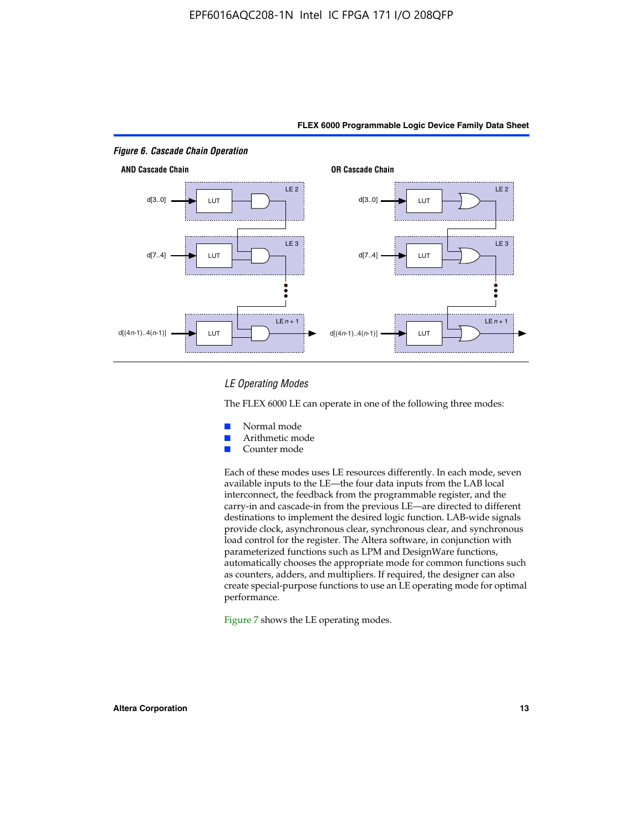

#### *LE Operating Modes*

The FLEX 6000 LE can operate in one of the following three modes:

- Normal mode
- Arithmetic mode
- Counter mode

Each of these modes uses LE resources differently. In each mode, seven available inputs to the LE—the four data inputs from the LAB local interconnect, the feedback from the programmable register, and the carry-in and cascade-in from the previous LE—are directed to different destinations to implement the desired logic function. LAB-wide signals provide clock, asynchronous clear, synchronous clear, and synchronous load control for the register. The Altera software, in conjunction with parameterized functions such as LPM and DesignWare functions, automatically chooses the appropriate mode for common functions such as counters, adders, and multipliers. If required, the designer can also create special-purpose functions to use an LE operating mode for optimal performance.

Figure 7 shows the LE operating modes.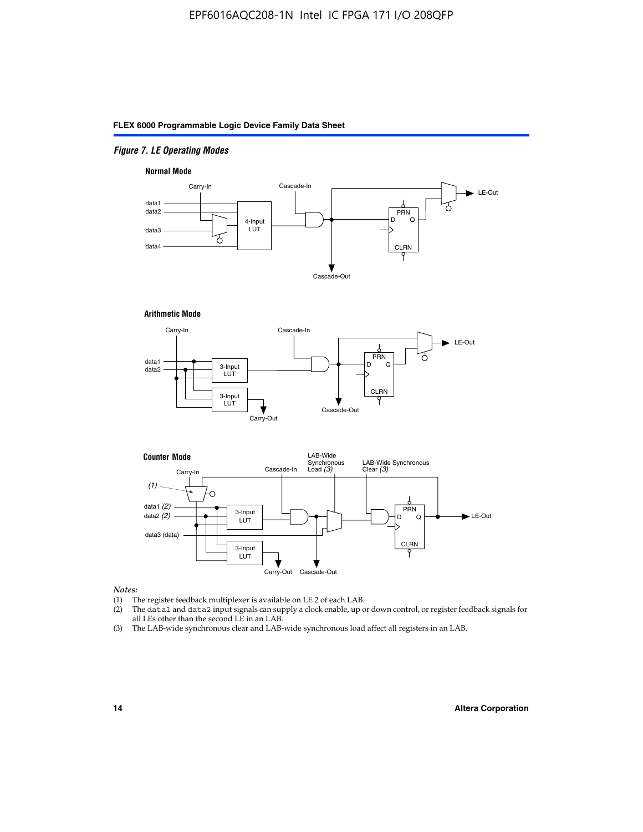#### *Figure 7. LE Operating Modes*

#### **Normal Mode**



#### **Arithmetic Mode**





#### *Notes:*

- (1) The register feedback multiplexer is available on LE 2 of each LAB.
- (2) The data1 and data2 input signals can supply a clock enable, up or down control, or register feedback signals for all LEs other than the second LE in an LAB.
- (3) The LAB-wide synchronous clear and LAB-wide synchronous load affect all registers in an LAB.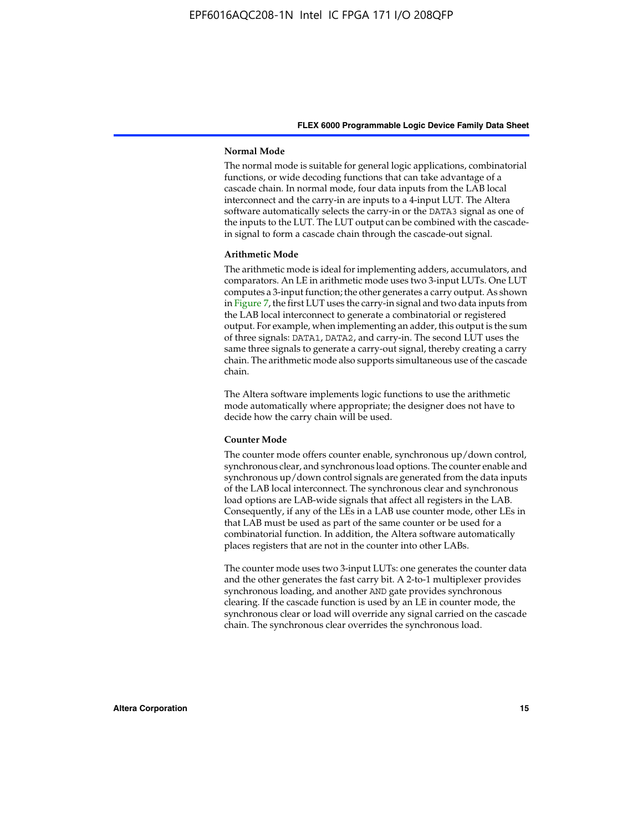#### **Normal Mode**

The normal mode is suitable for general logic applications, combinatorial functions, or wide decoding functions that can take advantage of a cascade chain. In normal mode, four data inputs from the LAB local interconnect and the carry-in are inputs to a 4-input LUT. The Altera software automatically selects the carry-in or the DATA3 signal as one of the inputs to the LUT. The LUT output can be combined with the cascadein signal to form a cascade chain through the cascade-out signal.

#### **Arithmetic Mode**

The arithmetic mode is ideal for implementing adders, accumulators, and comparators. An LE in arithmetic mode uses two 3-input LUTs. One LUT computes a 3-input function; the other generates a carry output. As shown in Figure 7, the first LUT uses the carry-in signal and two data inputs from the LAB local interconnect to generate a combinatorial or registered output. For example, when implementing an adder, this output is the sum of three signals: DATA1, DATA2, and carry-in. The second LUT uses the same three signals to generate a carry-out signal, thereby creating a carry chain. The arithmetic mode also supports simultaneous use of the cascade chain.

The Altera software implements logic functions to use the arithmetic mode automatically where appropriate; the designer does not have to decide how the carry chain will be used.

#### **Counter Mode**

The counter mode offers counter enable, synchronous up/down control, synchronous clear, and synchronous load options. The counter enable and synchronous up/down control signals are generated from the data inputs of the LAB local interconnect. The synchronous clear and synchronous load options are LAB-wide signals that affect all registers in the LAB. Consequently, if any of the LEs in a LAB use counter mode, other LEs in that LAB must be used as part of the same counter or be used for a combinatorial function. In addition, the Altera software automatically places registers that are not in the counter into other LABs.

The counter mode uses two 3-input LUTs: one generates the counter data and the other generates the fast carry bit. A 2-to-1 multiplexer provides synchronous loading, and another AND gate provides synchronous clearing. If the cascade function is used by an LE in counter mode, the synchronous clear or load will override any signal carried on the cascade chain. The synchronous clear overrides the synchronous load.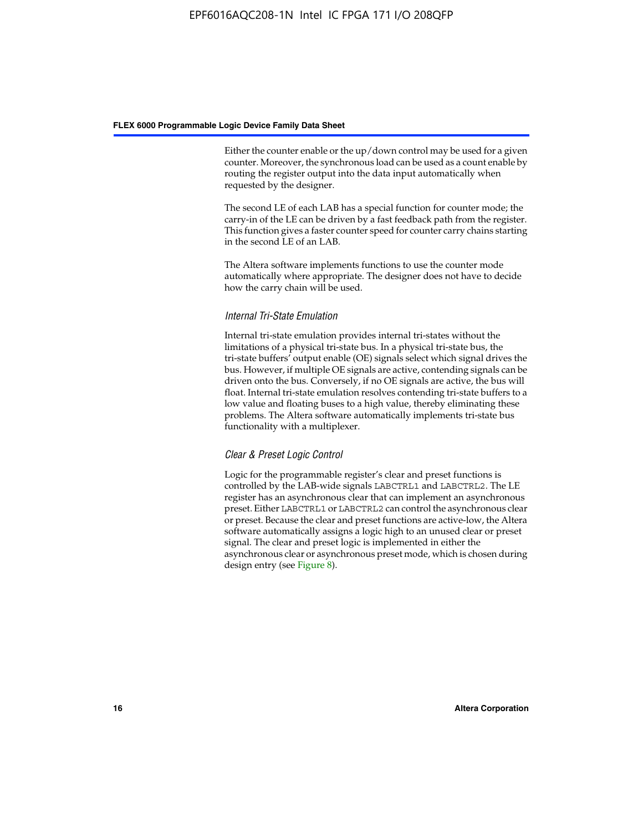Either the counter enable or the up/down control may be used for a given counter. Moreover, the synchronous load can be used as a count enable by routing the register output into the data input automatically when requested by the designer.

The second LE of each LAB has a special function for counter mode; the carry-in of the LE can be driven by a fast feedback path from the register. This function gives a faster counter speed for counter carry chains starting in the second LE of an LAB.

The Altera software implements functions to use the counter mode automatically where appropriate. The designer does not have to decide how the carry chain will be used.

#### *Internal Tri-State Emulation*

Internal tri-state emulation provides internal tri-states without the limitations of a physical tri-state bus. In a physical tri-state bus, the tri-state buffers' output enable (OE) signals select which signal drives the bus. However, if multiple OE signals are active, contending signals can be driven onto the bus. Conversely, if no OE signals are active, the bus will float. Internal tri-state emulation resolves contending tri-state buffers to a low value and floating buses to a high value, thereby eliminating these problems. The Altera software automatically implements tri-state bus functionality with a multiplexer.

#### *Clear & Preset Logic Control*

Logic for the programmable register's clear and preset functions is controlled by the LAB-wide signals LABCTRL1 and LABCTRL2. The LE register has an asynchronous clear that can implement an asynchronous preset. Either LABCTRL1 or LABCTRL2 can control the asynchronous clear or preset. Because the clear and preset functions are active-low, the Altera software automatically assigns a logic high to an unused clear or preset signal. The clear and preset logic is implemented in either the asynchronous clear or asynchronous preset mode, which is chosen during design entry (see Figure 8).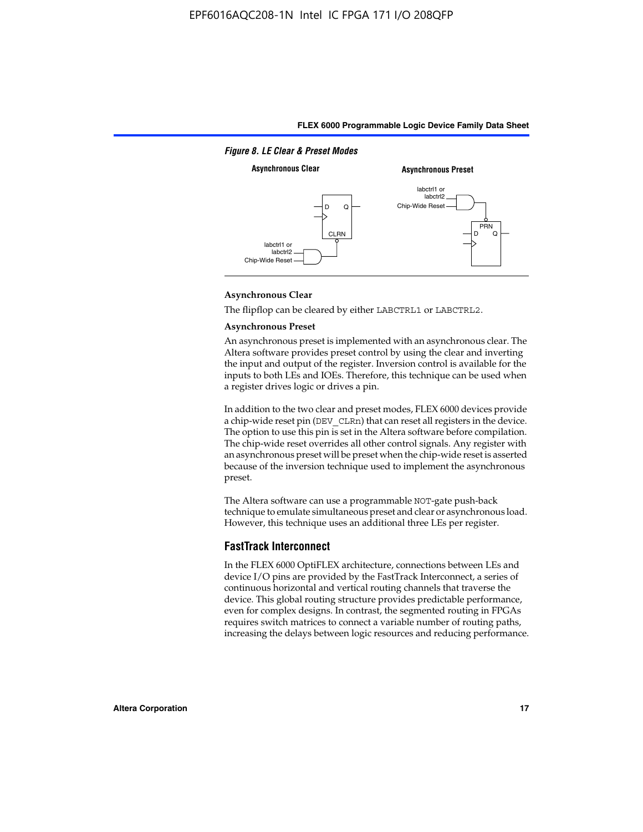

#### **Asynchronous Clear**

The flipflop can be cleared by either LABCTRL1 or LABCTRL2.

#### **Asynchronous Preset**

An asynchronous preset is implemented with an asynchronous clear. The Altera software provides preset control by using the clear and inverting the input and output of the register. Inversion control is available for the inputs to both LEs and IOEs. Therefore, this technique can be used when a register drives logic or drives a pin.

In addition to the two clear and preset modes, FLEX 6000 devices provide a chip-wide reset pin (DEV\_CLRn) that can reset all registers in the device. The option to use this pin is set in the Altera software before compilation. The chip-wide reset overrides all other control signals. Any register with an asynchronous preset will be preset when the chip-wide reset is asserted because of the inversion technique used to implement the asynchronous preset.

The Altera software can use a programmable NOT-gate push-back technique to emulate simultaneous preset and clear or asynchronous load. However, this technique uses an additional three LEs per register.

#### **FastTrack Interconnect**

In the FLEX 6000 OptiFLEX architecture, connections between LEs and device I/O pins are provided by the FastTrack Interconnect, a series of continuous horizontal and vertical routing channels that traverse the device. This global routing structure provides predictable performance, even for complex designs. In contrast, the segmented routing in FPGAs requires switch matrices to connect a variable number of routing paths, increasing the delays between logic resources and reducing performance.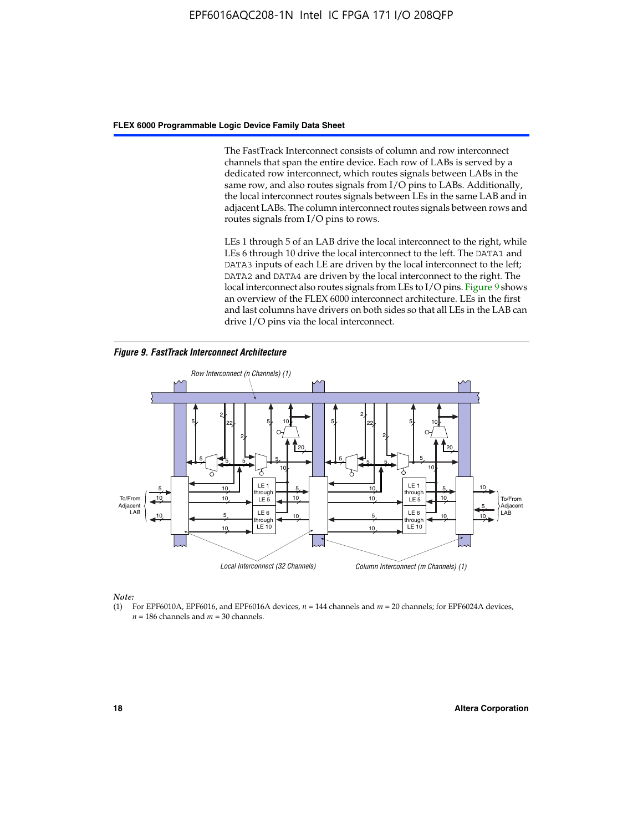The FastTrack Interconnect consists of column and row interconnect channels that span the entire device. Each row of LABs is served by a dedicated row interconnect, which routes signals between LABs in the same row, and also routes signals from I/O pins to LABs. Additionally, the local interconnect routes signals between LEs in the same LAB and in adjacent LABs. The column interconnect routes signals between rows and routes signals from I/O pins to rows.

LEs 1 through 5 of an LAB drive the local interconnect to the right, while LEs 6 through 10 drive the local interconnect to the left. The DATA1 and DATA3 inputs of each LE are driven by the local interconnect to the left; DATA2 and DATA4 are driven by the local interconnect to the right. The local interconnect also routes signals from LEs to I/O pins. Figure 9 shows an overview of the FLEX 6000 interconnect architecture. LEs in the first and last columns have drivers on both sides so that all LEs in the LAB can drive I/O pins via the local interconnect.

*Figure 9. FastTrack Interconnect Architecture*



*Note:*

(1) For EPF6010A, EPF6016, and EPF6016A devices, *n* = 144 channels and *m* = 20 channels; for EPF6024A devices,  $n = 186$  channels and  $m = 30$  channels.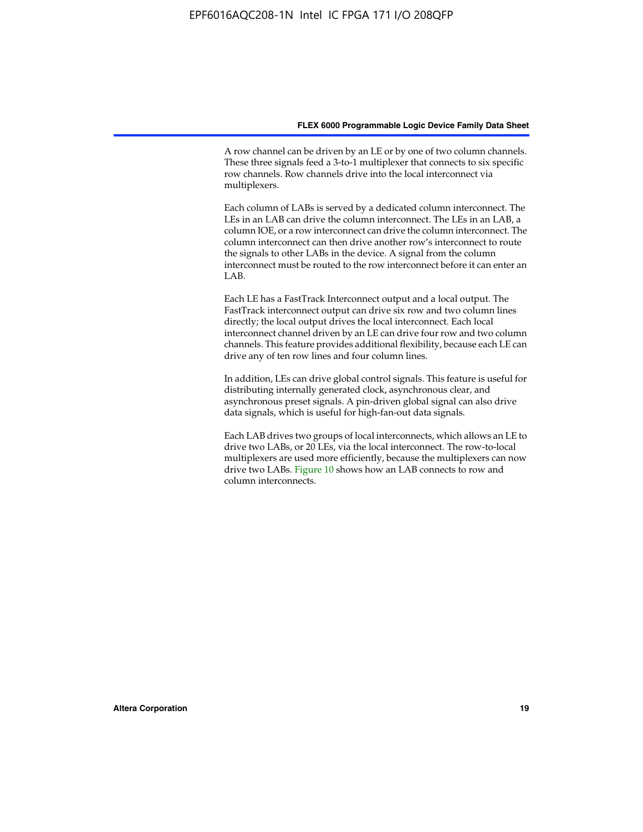A row channel can be driven by an LE or by one of two column channels. These three signals feed a 3-to-1 multiplexer that connects to six specific row channels. Row channels drive into the local interconnect via multiplexers.

Each column of LABs is served by a dedicated column interconnect. The LEs in an LAB can drive the column interconnect. The LEs in an LAB, a column IOE, or a row interconnect can drive the column interconnect. The column interconnect can then drive another row's interconnect to route the signals to other LABs in the device. A signal from the column interconnect must be routed to the row interconnect before it can enter an  $LAB$ 

Each LE has a FastTrack Interconnect output and a local output. The FastTrack interconnect output can drive six row and two column lines directly; the local output drives the local interconnect. Each local interconnect channel driven by an LE can drive four row and two column channels. This feature provides additional flexibility, because each LE can drive any of ten row lines and four column lines.

In addition, LEs can drive global control signals. This feature is useful for distributing internally generated clock, asynchronous clear, and asynchronous preset signals. A pin-driven global signal can also drive data signals, which is useful for high-fan-out data signals.

Each LAB drives two groups of local interconnects, which allows an LE to drive two LABs, or 20 LEs, via the local interconnect. The row-to-local multiplexers are used more efficiently, because the multiplexers can now drive two LABs. Figure 10 shows how an LAB connects to row and column interconnects.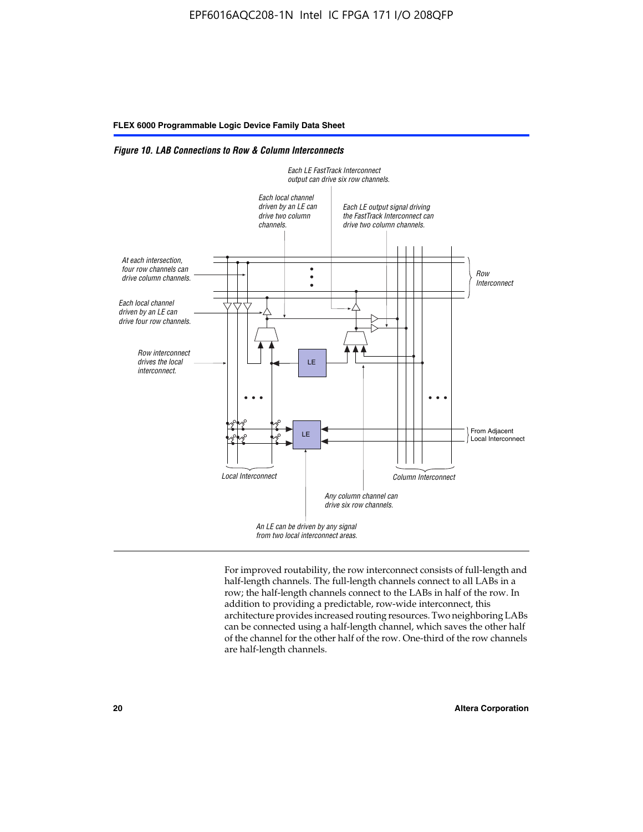*Figure 10. LAB Connections to Row & Column Interconnects*



For improved routability, the row interconnect consists of full-length and half-length channels. The full-length channels connect to all LABs in a row; the half-length channels connect to the LABs in half of the row. In addition to providing a predictable, row-wide interconnect, this architecture provides increased routing resources. Two neighboring LABs can be connected using a half-length channel, which saves the other half of the channel for the other half of the row. One-third of the row channels are half-length channels.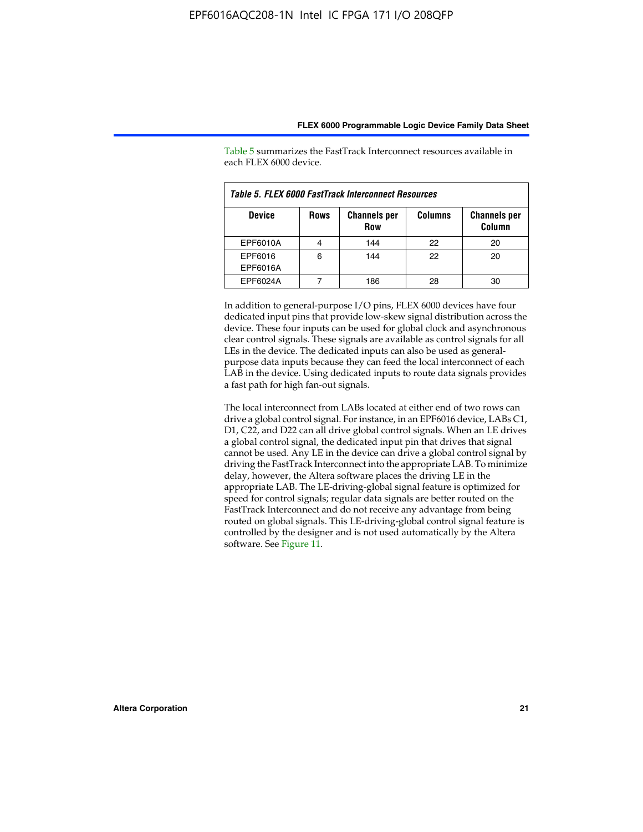| Table 5. FLEX 6000 FastTrack Interconnect Resources |             |                                   |                |                               |  |
|-----------------------------------------------------|-------------|-----------------------------------|----------------|-------------------------------|--|
| <b>Device</b>                                       | <b>Rows</b> | <b>Channels per</b><br><b>Row</b> | <b>Columns</b> | <b>Channels per</b><br>Column |  |
| EPF6010A                                            |             | 144                               | 22             | 20                            |  |
| EPF6016<br>EPF6016A                                 | 6           | 144                               | 22             | 20                            |  |
| EPF6024A                                            |             | 186                               |                | 30                            |  |

Table 5 summarizes the FastTrack Interconnect resources available in each FLEX 6000 device.

In addition to general-purpose I/O pins, FLEX 6000 devices have four dedicated input pins that provide low-skew signal distribution across the device. These four inputs can be used for global clock and asynchronous clear control signals. These signals are available as control signals for all LEs in the device. The dedicated inputs can also be used as generalpurpose data inputs because they can feed the local interconnect of each LAB in the device. Using dedicated inputs to route data signals provides a fast path for high fan-out signals.

The local interconnect from LABs located at either end of two rows can drive a global control signal. For instance, in an EPF6016 device, LABs C1, D1, C22, and D22 can all drive global control signals. When an LE drives a global control signal, the dedicated input pin that drives that signal cannot be used. Any LE in the device can drive a global control signal by driving the FastTrack Interconnect into the appropriate LAB. To minimize delay, however, the Altera software places the driving LE in the appropriate LAB. The LE-driving-global signal feature is optimized for speed for control signals; regular data signals are better routed on the FastTrack Interconnect and do not receive any advantage from being routed on global signals. This LE-driving-global control signal feature is controlled by the designer and is not used automatically by the Altera software. See Figure 11.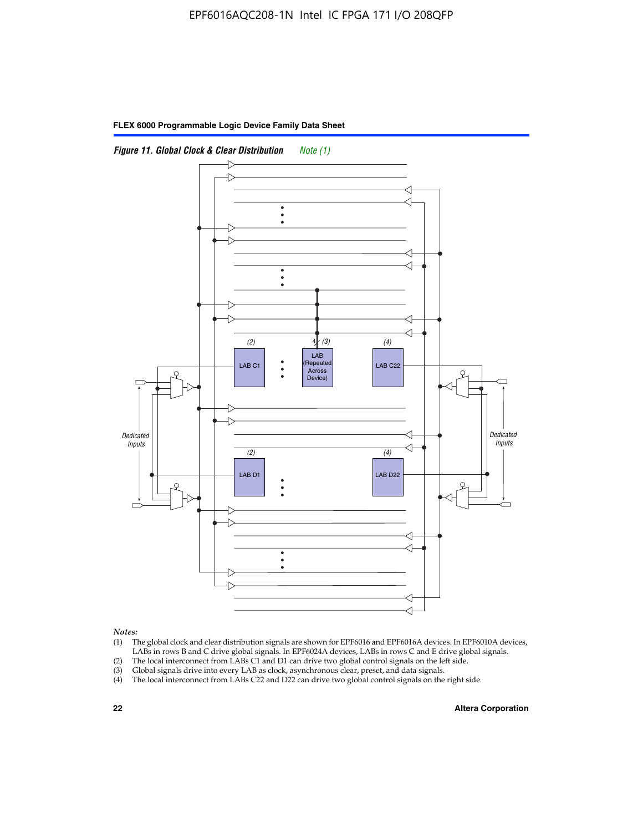

**FLEX 6000 Programmable Logic Device Family Data Sheet**

*Notes:*

- (1) The global clock and clear distribution signals are shown for EPF6016 and EPF6016A devices. In EPF6010A devices, LABs in rows B and C drive global signals. In EPF6024A devices, LABs in rows C and E drive global signals.
- (2) The local interconnect from LABs C1 and D1 can drive two global control signals on the left side.
- (3) Global signals drive into every LAB as clock, asynchronous clear, preset, and data signals.
- (4) The local interconnect from LABs C22 and D22 can drive two global control signals on the right side.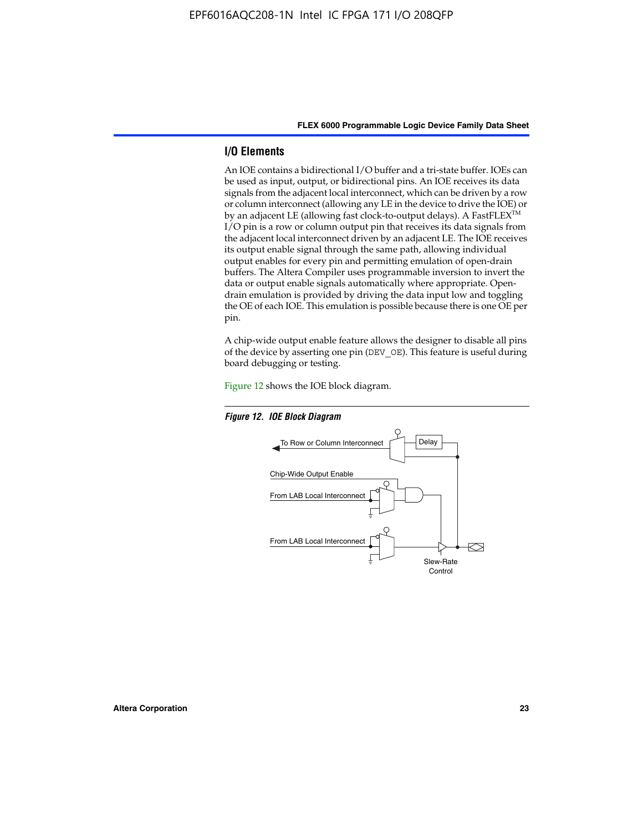#### **I/O Elements**

An IOE contains a bidirectional I/O buffer and a tri-state buffer. IOEs can be used as input, output, or bidirectional pins. An IOE receives its data signals from the adjacent local interconnect, which can be driven by a row or column interconnect (allowing any LE in the device to drive the IOE) or by an adjacent LE (allowing fast clock-to-output delays). A FastFLEX<sup>™</sup> I/O pin is a row or column output pin that receives its data signals from the adjacent local interconnect driven by an adjacent LE. The IOE receives its output enable signal through the same path, allowing individual output enables for every pin and permitting emulation of open-drain buffers. The Altera Compiler uses programmable inversion to invert the data or output enable signals automatically where appropriate. Opendrain emulation is provided by driving the data input low and toggling the OE of each IOE. This emulation is possible because there is one OE per pin.

A chip-wide output enable feature allows the designer to disable all pins of the device by asserting one pin (DEV\_OE). This feature is useful during board debugging or testing.

Figure 12 shows the IOE block diagram.



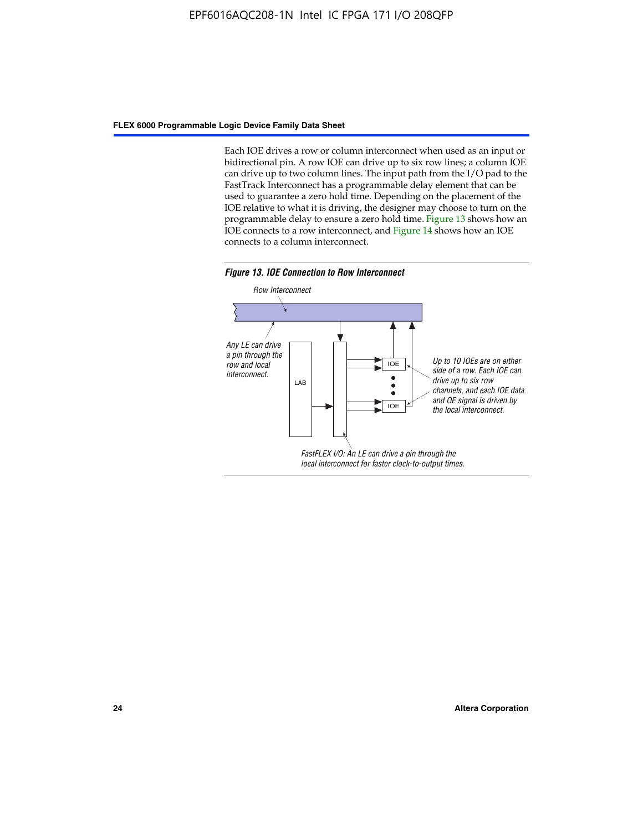Each IOE drives a row or column interconnect when used as an input or bidirectional pin. A row IOE can drive up to six row lines; a column IOE can drive up to two column lines. The input path from the I/O pad to the FastTrack Interconnect has a programmable delay element that can be used to guarantee a zero hold time. Depending on the placement of the IOE relative to what it is driving, the designer may choose to turn on the programmable delay to ensure a zero hold time. Figure 13 shows how an IOE connects to a row interconnect, and Figure 14 shows how an IOE connects to a column interconnect.



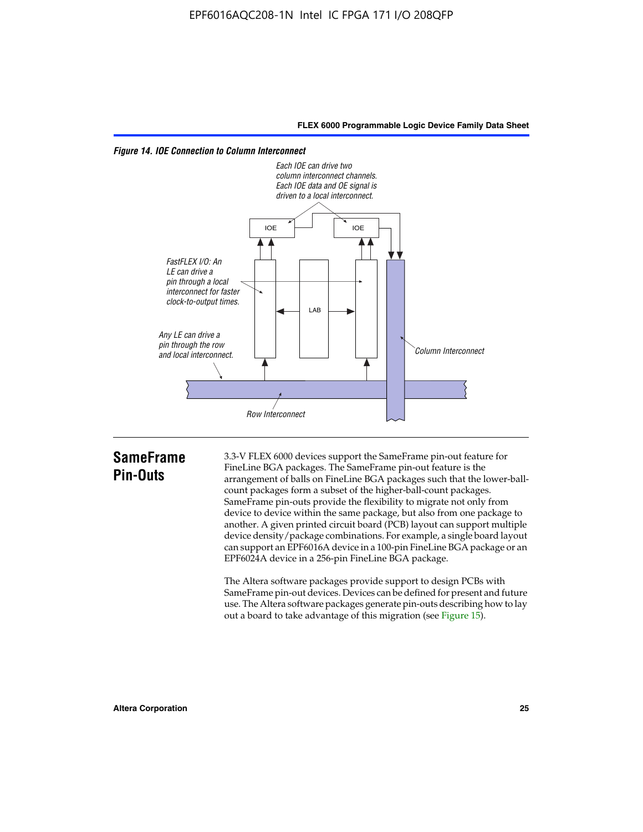



# **SameFrame Pin-Outs**

3.3-V FLEX 6000 devices support the SameFrame pin-out feature for FineLine BGA packages. The SameFrame pin-out feature is the arrangement of balls on FineLine BGA packages such that the lower-ballcount packages form a subset of the higher-ball-count packages. SameFrame pin-outs provide the flexibility to migrate not only from device to device within the same package, but also from one package to another. A given printed circuit board (PCB) layout can support multiple device density/package combinations. For example, a single board layout can support an EPF6016A device in a 100-pin FineLine BGA package or an EPF6024A device in a 256-pin FineLine BGA package.

The Altera software packages provide support to design PCBs with SameFrame pin-out devices. Devices can be defined for present and future use. The Altera software packages generate pin-outs describing how to lay out a board to take advantage of this migration (see Figure 15).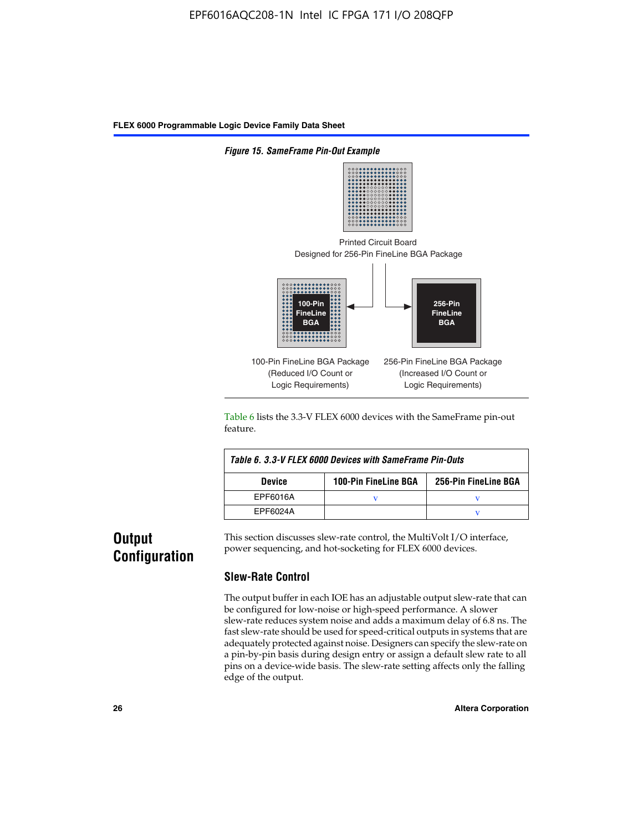

Table 6 lists the 3.3-V FLEX 6000 devices with the SameFrame pin-out feature.

| Table 6, 3.3-V FLEX 6000 Devices with SameFrame Pin-Outs |                             |                      |  |  |  |
|----------------------------------------------------------|-----------------------------|----------------------|--|--|--|
| <b>Device</b>                                            | <b>100-Pin FineLine BGA</b> | 256-Pin FineLine BGA |  |  |  |
| EPF6016A                                                 |                             |                      |  |  |  |
| EPF6024A                                                 |                             |                      |  |  |  |

# **Output Configuration**

This section discusses slew-rate control, the MultiVolt I/O interface, power sequencing, and hot-socketing for FLEX 6000 devices.

#### **Slew-Rate Control**

The output buffer in each IOE has an adjustable output slew-rate that can be configured for low-noise or high-speed performance. A slower slew-rate reduces system noise and adds a maximum delay of 6.8 ns. The fast slew-rate should be used for speed-critical outputs in systems that are adequately protected against noise. Designers can specify the slew-rate on a pin-by-pin basis during design entry or assign a default slew rate to all pins on a device-wide basis. The slew-rate setting affects only the falling edge of the output.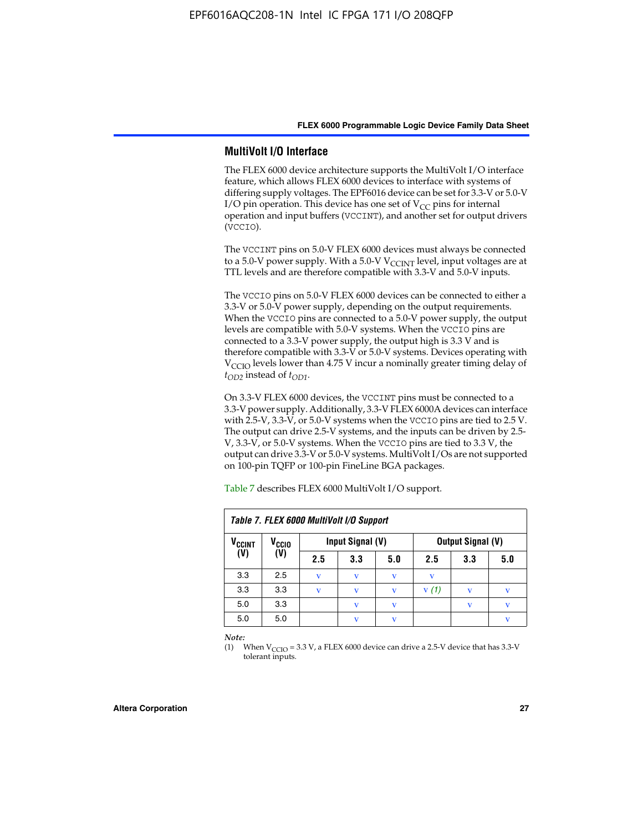#### **MultiVolt I/O Interface**

The FLEX 6000 device architecture supports the MultiVolt I/O interface feature, which allows FLEX 6000 devices to interface with systems of differing supply voltages. The EPF6016 device can be set for 3.3-V or 5.0-V I/O pin operation. This device has one set of  $V_{CC}$  pins for internal operation and input buffers (VCCINT), and another set for output drivers (VCCIO).

The VCCINT pins on 5.0-V FLEX 6000 devices must always be connected to a 5.0-V power supply. With a 5.0-V  $V_{\text{CCINT}}$  level, input voltages are at TTL levels and are therefore compatible with 3.3-V and 5.0-V inputs.

The VCCIO pins on 5.0-V FLEX 6000 devices can be connected to either a 3.3-V or 5.0-V power supply, depending on the output requirements. When the VCCIO pins are connected to a 5.0-V power supply, the output levels are compatible with 5.0-V systems. When the VCCIO pins are connected to a 3.3-V power supply, the output high is 3.3 V and is therefore compatible with 3.3-V or 5.0-V systems. Devices operating with V<sub>CCIO</sub> levels lower than 4.75 V incur a nominally greater timing delay of *tOD2* instead of *tOD1*.

On 3.3-V FLEX 6000 devices, the VCCINT pins must be connected to a 3.3-V power supply. Additionally, 3.3-V FLEX 6000A devices can interface with 2.5-V, 3.3-V, or 5.0-V systems when the VCCIO pins are tied to 2.5 V. The output can drive 2.5-V systems, and the inputs can be driven by 2.5- V, 3.3-V, or 5.0-V systems. When the VCCIO pins are tied to 3.3 V, the output can drive 3.3-V or 5.0-V systems. MultiVolt I/Os are not supported on 100-pin TQFP or 100-pin FineLine BGA packages.

| Table 7. FLEX 6000 MultiVolt I/O Support |                   |     |                  |              |                          |             |     |
|------------------------------------------|-------------------|-----|------------------|--------------|--------------------------|-------------|-----|
| <b>V<sub>CCINT</sub></b>                 | V <sub>CCIO</sub> |     | Input Signal (V) |              | <b>Output Signal (V)</b> |             |     |
| (V)                                      | (V)               | 2.5 | 3.3              | 5.0          | 2.5                      | 3.3         | 5.0 |
| 3.3                                      | 2.5               | v   | V                | V            | v                        |             |     |
| 3.3                                      | 3.3               | v   | v                | v            | V(1)                     |             | v   |
| 5.0                                      | 3.3               |     | $\mathbf{V}$     | $\mathbf{V}$ |                          | $\mathbf v$ | v   |
| 5.0                                      | 5.0               |     | v                | v            |                          |             | v   |

Table 7 describes FLEX 6000 MultiVolt I/O support.

*Note:*

(1) When  $V_{\text{CCIO}} = 3.3 \text{ V}$ , a FLEX 6000 device can drive a 2.5-V device that has 3.3-V tolerant inputs.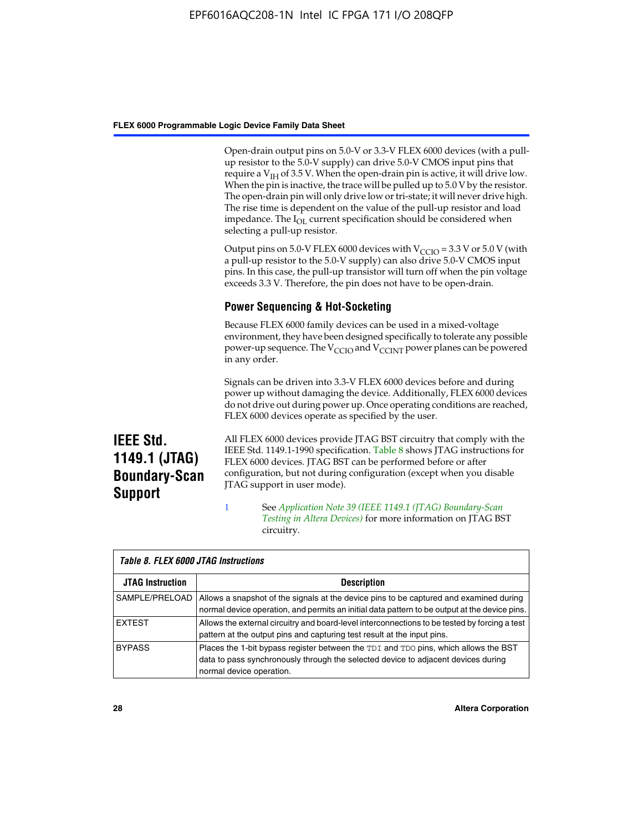Open-drain output pins on 5.0-V or 3.3-V FLEX 6000 devices (with a pullup resistor to the 5.0-V supply) can drive 5.0-V CMOS input pins that require a  $V_{IH}$  of 3.5 V. When the open-drain pin is active, it will drive low. When the pin is inactive, the trace will be pulled up to 5.0 V by the resistor. The open-drain pin will only drive low or tri-state; it will never drive high. The rise time is dependent on the value of the pull-up resistor and load impedance. The I<sub>OL</sub> current specification should be considered when selecting a pull-up resistor.

Output pins on 5.0-V FLEX 6000 devices with  $V_{\text{CCIO}} = 3.3$  V or 5.0 V (with a pull-up resistor to the 5.0-V supply) can also drive 5.0-V CMOS input pins. In this case, the pull-up transistor will turn off when the pin voltage exceeds 3.3 V. Therefore, the pin does not have to be open-drain.

#### **Power Sequencing & Hot-Socketing**

Because FLEX 6000 family devices can be used in a mixed-voltage environment, they have been designed specifically to tolerate any possible power-up sequence. The  $V_{\text{CCIO}}$  and  $V_{\text{CCINT}}$  power planes can be powered in any order.

Signals can be driven into 3.3-V FLEX 6000 devices before and during power up without damaging the device. Additionally, FLEX 6000 devices do not drive out during power up. Once operating conditions are reached, FLEX 6000 devices operate as specified by the user.

**IEEE Std. 1149.1 (JTAG) Boundary-Scan Support**

All FLEX 6000 devices provide JTAG BST circuitry that comply with the IEEE Std. 1149.1-1990 specification. Table 8 shows JTAG instructions for FLEX 6000 devices. JTAG BST can be performed before or after configuration, but not during configuration (except when you disable JTAG support in user mode).

1 See *[A](http://www.altera.com/literature/an/an039.pdf)pplication Note 39 (IEEE 1149.1 (JTAG) Boundary-Scan Testing in Altera Devices)* for more information on JTAG BST circuitry.

| Table 8. FLEX 6000 JTAG Instructions |                                                                                                                                                                                                      |  |  |  |  |
|--------------------------------------|------------------------------------------------------------------------------------------------------------------------------------------------------------------------------------------------------|--|--|--|--|
| <b>JTAG Instruction</b>              | <b>Description</b>                                                                                                                                                                                   |  |  |  |  |
| SAMPLE/PRELOAD                       | Allows a snapshot of the signals at the device pins to be captured and examined during<br>normal device operation, and permits an initial data pattern to be output at the device pins.              |  |  |  |  |
| <b>EXTEST</b>                        | Allows the external circuitry and board-level interconnections to be tested by forcing a test<br>pattern at the output pins and capturing test result at the input pins.                             |  |  |  |  |
| <b>BYPASS</b>                        | Places the 1-bit bypass register between the TDI and TDO pins, which allows the BST<br>data to pass synchronously through the selected device to adjacent devices during<br>normal device operation. |  |  |  |  |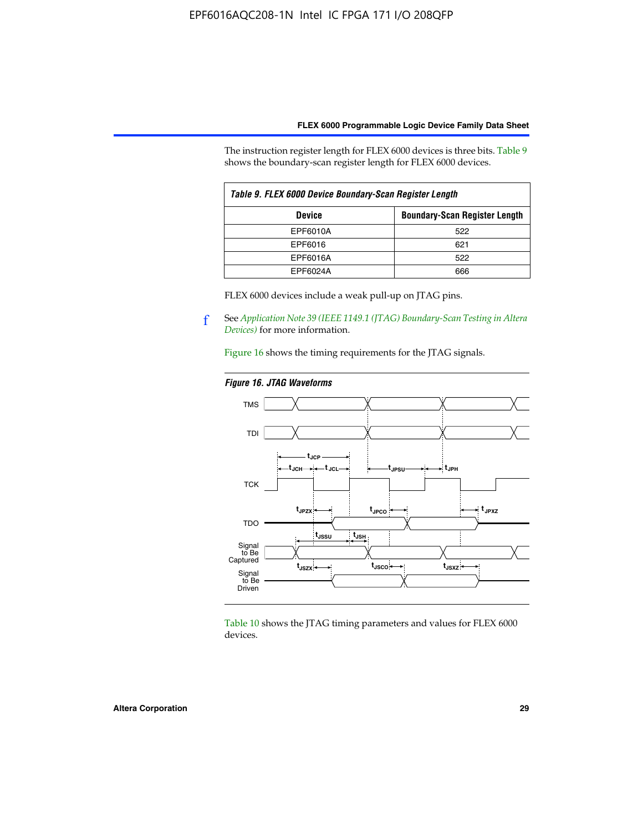The instruction register length for FLEX 6000 devices is three bits. Table 9 shows the boundary-scan register length for FLEX 6000 devices.

| Table 9. FLEX 6000 Device Boundary-Scan Register Length |                                      |  |  |  |
|---------------------------------------------------------|--------------------------------------|--|--|--|
| <b>Device</b>                                           | <b>Boundary-Scan Register Length</b> |  |  |  |
| EPF6010A                                                | 522                                  |  |  |  |
| EPF6016                                                 | 621                                  |  |  |  |
| EPF6016A                                                | 522                                  |  |  |  |
| EPF6024A                                                | 666                                  |  |  |  |

FLEX 6000 devices include a weak pull-up on JTAG pins.

f See *[Application Note 39 \(IEEE 1149.1 \(JTAG\) Boundary-Scan Testing in Altera](http://www.altera.com/literature/an/an039.pdf)  [Devices\)](http://www.altera.com/literature/an/an039.pdf)* for more information.

Figure 16 shows the timing requirements for the JTAG signals.

#### *Figure 16. JTAG Waveforms*



Table 10 shows the JTAG timing parameters and values for FLEX 6000 devices.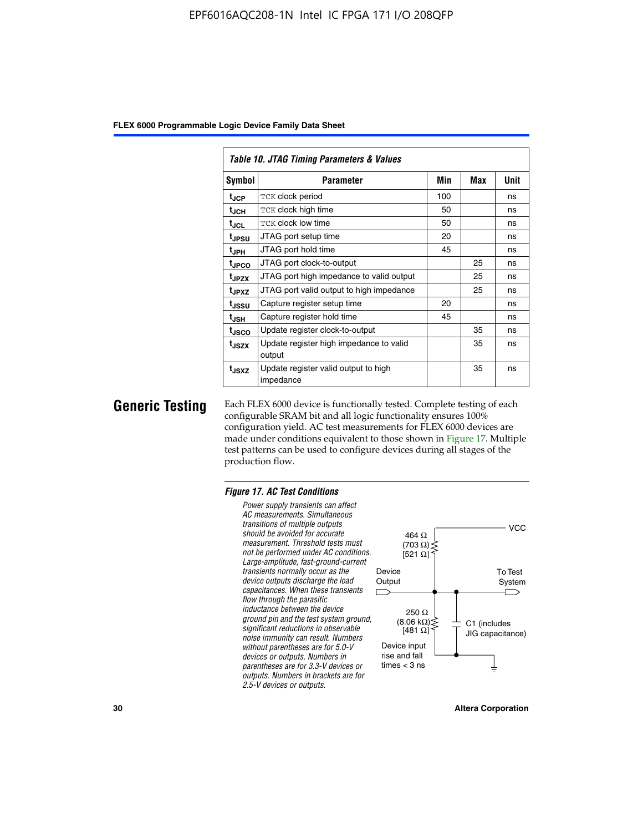|                   | Table 10. JTAG Timing Parameters & Values         |     |     |      |  |  |  |  |  |  |  |
|-------------------|---------------------------------------------------|-----|-----|------|--|--|--|--|--|--|--|
| Symbol            | Parameter                                         | Min | Max | Unit |  |  |  |  |  |  |  |
| t <sub>JCP</sub>  | <b>TCK clock period</b>                           | 100 |     | ns   |  |  |  |  |  |  |  |
| t <sub>JCH</sub>  | TCK clock high time                               | 50  |     | ns   |  |  |  |  |  |  |  |
| t <sub>JCL</sub>  | <b>TCK clock low time</b>                         | 50  |     | ns   |  |  |  |  |  |  |  |
| tjpsu             | JTAG port setup time                              | 20  |     | ns   |  |  |  |  |  |  |  |
| t <sub>JPH</sub>  | JTAG port hold time                               | 45  |     | ns   |  |  |  |  |  |  |  |
| <sup>t</sup> JPCO | JTAG port clock-to-output                         |     | 25  | ns   |  |  |  |  |  |  |  |
| t <sub>JPZX</sub> | JTAG port high impedance to valid output          |     | 25  | ns   |  |  |  |  |  |  |  |
| t <sub>JPXZ</sub> | JTAG port valid output to high impedance          |     | 25  | ns   |  |  |  |  |  |  |  |
| tjssu             | Capture register setup time                       | 20  |     | ns   |  |  |  |  |  |  |  |
| t <sub>JSH</sub>  | Capture register hold time                        | 45  |     | ns   |  |  |  |  |  |  |  |
| tjsco             | Update register clock-to-output                   |     | 35  | ns   |  |  |  |  |  |  |  |
| t <sub>JSZX</sub> | Update register high impedance to valid<br>output |     | 35  | ns   |  |  |  |  |  |  |  |
| t <sub>JSXZ</sub> | Update register valid output to high<br>impedance |     | 35  | ns   |  |  |  |  |  |  |  |

**Generic Testing** Each FLEX 6000 device is functionally tested. Complete testing of each configurable SRAM bit and all logic functionality ensures 100% configuration yield. AC test measurements for FLEX 6000 devices are made under conditions equivalent to those shown in Figure 17. Multiple test patterns can be used to configure devices during all stages of the production flow.

#### *Figure 17. AC Test Conditions*

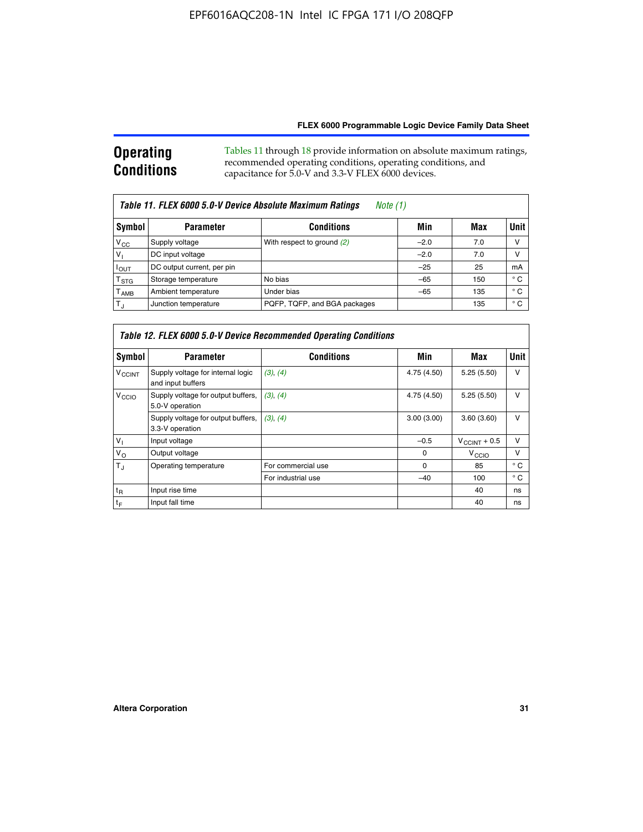#### **Operating Conditions** Tables 11 through 18 provide information on absolute maximum ratings, recommended operating conditions, operating conditions, and capacitance for 5.0-V and 3.3-V FLEX 6000 devices.

| Table 11. FLEX 6000 5.0-V Device Absolute Maximum Ratings<br><i>Note</i> $(1)$ |                                       |                              |        |     |              |  |  |  |  |
|--------------------------------------------------------------------------------|---------------------------------------|------------------------------|--------|-----|--------------|--|--|--|--|
| Symbol                                                                         | <b>Conditions</b><br><b>Parameter</b> |                              | Min    | Max | <b>Unit</b>  |  |  |  |  |
| $V_{CC}$                                                                       | Supply voltage                        | With respect to ground (2)   | $-2.0$ | 7.0 | v            |  |  |  |  |
| $V_1$                                                                          | DC input voltage                      |                              | $-2.0$ | 7.0 | ν            |  |  |  |  |
| $I_{OUT}$                                                                      | DC output current, per pin            |                              | $-25$  | 25  | mA           |  |  |  |  |
| $T_{\rm STG}$                                                                  | Storage temperature                   | No bias                      | $-65$  | 150 | ° C          |  |  |  |  |
| $T_{\sf AMB}$                                                                  | Ambient temperature                   | Under bias                   | $-65$  | 135 | $^{\circ}$ C |  |  |  |  |
| $T_{J}$                                                                        | Junction temperature                  | PQFP, TQFP, and BGA packages |        | 135 | ° C          |  |  |  |  |

| Table 12. FLEX 6000 5.0-V Device Recommended Operating Conditions |                                                        |                    |             |                          |              |  |  |  |  |
|-------------------------------------------------------------------|--------------------------------------------------------|--------------------|-------------|--------------------------|--------------|--|--|--|--|
| Symbol                                                            | <b>Parameter</b>                                       | <b>Conditions</b>  | Min         | Max                      | Unit         |  |  |  |  |
| <b>V<sub>CCINT</sub></b>                                          | Supply voltage for internal logic<br>and input buffers | (3), (4)           | 4.75 (4.50) | 5.25(5.50)               | v            |  |  |  |  |
| V <sub>CCIO</sub>                                                 | Supply voltage for output buffers,<br>5.0-V operation  | (3), (4)           | 4.75 (4.50) | 5.25(5.50)               | v            |  |  |  |  |
|                                                                   | Supply voltage for output buffers,<br>3.3-V operation  | (3), (4)           | 3.00(3.00)  | 3.60(3.60)               | v            |  |  |  |  |
| $V_{1}$                                                           | Input voltage                                          |                    | $-0.5$      | $V_{\text{CCINT}} + 0.5$ | v            |  |  |  |  |
| $V_{\rm O}$                                                       | Output voltage                                         |                    | $\Omega$    | $V_{\text{CCIO}}$        | v            |  |  |  |  |
| $T_{\rm J}$                                                       | Operating temperature                                  | For commercial use | 0           | 85                       | $^{\circ}$ C |  |  |  |  |
|                                                                   |                                                        | For industrial use | $-40$       | 100                      | $^{\circ}$ C |  |  |  |  |
| $t_{R}$                                                           | Input rise time                                        |                    |             | 40                       | ns           |  |  |  |  |
| t <sub>F</sub>                                                    | Input fall time                                        |                    |             | 40                       | ns           |  |  |  |  |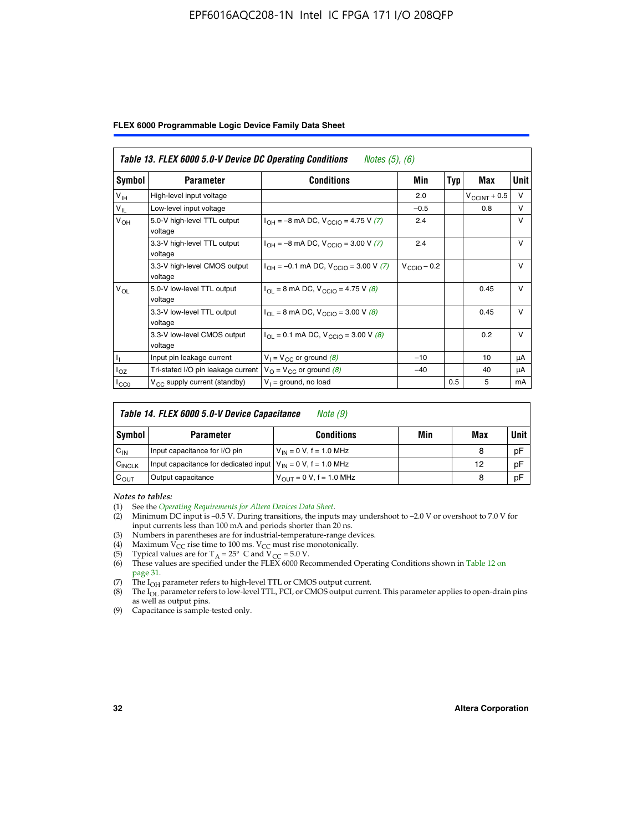#### EPF6016AQC208-1N Intel IC FPGA 171 I/O 208QFP

|  |  |  | FLEX 6000 Programmable Logic Device Family Data Sheet |  |  |  |
|--|--|--|-------------------------------------------------------|--|--|--|
|--|--|--|-------------------------------------------------------|--|--|--|

| Table 13. FLEX 6000 5.0-V Device DC Operating Conditions<br><i>Notes</i> $(5)$ , $(6)$ |                                                                            |                                                                              |                         |     |                       |              |  |  |  |
|----------------------------------------------------------------------------------------|----------------------------------------------------------------------------|------------------------------------------------------------------------------|-------------------------|-----|-----------------------|--------------|--|--|--|
| Symbol                                                                                 | <b>Parameter</b>                                                           | Conditions                                                                   | Min                     | Typ | Max                   | Unit         |  |  |  |
| V <sub>IH</sub>                                                                        | High-level input voltage                                                   |                                                                              | 2.0                     |     | $V_{\rm CCINT}$ + 0.5 | $\vee$       |  |  |  |
| $V_{IL}$                                                                               | Low-level input voltage                                                    |                                                                              | $-0.5$                  |     | 0.8                   | $\vee$       |  |  |  |
| $V_{OH}$                                                                               | 5.0-V high-level TTL output<br>voltage                                     | $I_{OH} = -8$ mA DC, $V_{CGIO} = 4.75$ V (7)                                 | 2.4                     |     |                       | $\vee$       |  |  |  |
|                                                                                        | 3.3-V high-level TTL output<br>voltage                                     | $I_{\text{OH}} = -8 \text{ mA DC}$ , $V_{\text{CClO}} = 3.00 \text{ V}$ (7)  | 2.4                     |     |                       | V            |  |  |  |
|                                                                                        | 3.3-V high-level CMOS output<br>voltage                                    | $I_{OH} = -0.1$ mA DC, $V_{CCIO} = 3.00$ V (7)                               | $V_{\text{CCIO}} - 0.2$ |     |                       | V            |  |  |  |
| $V_{OL}$                                                                               | 5.0-V low-level TTL output<br>voltage                                      | $I_{\text{OI}} = 8 \text{ mA DC}$ , $V_{\text{CCl}} = 4.75 \text{ V}$ (8)    |                         |     | 0.45                  | $\vee$       |  |  |  |
|                                                                                        | 3.3-V low-level TTL output<br>voltage                                      | $I_{OL}$ = 8 mA DC, V <sub>CCIO</sub> = 3.00 V (8)                           |                         |     | 0.45                  | $\mathsf{V}$ |  |  |  |
|                                                                                        | 3.3-V low-level CMOS output<br>voltage                                     | $I_{\text{OI}} = 0.1 \text{ mA DC}$ , $V_{\text{CCIO}} = 3.00 \text{ V}$ (8) |                         |     | 0.2                   | $\vee$       |  |  |  |
|                                                                                        | Input pin leakage current                                                  | $V_1 = V_{CC}$ or ground (8)                                                 | $-10$                   |     | 10                    | μA           |  |  |  |
| $I_{OZ}$                                                                               | Tri-stated I/O pin leakage current $V_{\Omega} = V_{\Omega}$ or ground (8) |                                                                              | $-40$                   |     | 40                    | μA           |  |  |  |
| ICCO                                                                                   | V <sub>CC</sub> supply current (standby)                                   | $V_1$ = ground, no load                                                      |                         | 0.5 | 5                     | mA           |  |  |  |

| Table 14. FLEX 6000 5.0-V Device Capacitance<br>Note (9) |                                                                    |                                |     |     |             |  |  |  |
|----------------------------------------------------------|--------------------------------------------------------------------|--------------------------------|-----|-----|-------------|--|--|--|
| Symbol                                                   | <b>Parameter</b>                                                   | <b>Conditions</b>              | Min | Max | <b>Unit</b> |  |  |  |
| $C_{IN}$                                                 | Input capacitance for I/O pin                                      | $V_{IN} = 0 V$ , f = 1.0 MHz   |     | 8   | pF          |  |  |  |
| $C_{\text{INCLK}}$                                       | Input capacitance for dedicated input $V_{IN} = 0 V$ , f = 1.0 MHz |                                |     | 12  | pF          |  |  |  |
| $C_{OUT}$                                                | Output capacitance                                                 | $V_{OIII} = 0 V$ , f = 1.0 MHz |     | 8   | pF          |  |  |  |

*Notes to tables:*

- (3) Numbers in parentheses are for industrial-temperature-range devices.
- (4) Maximum  $V_{CC}$  rise time to 100 ms.  $V_{CC}$  must rise monotonically.
- 
- (5) Typical values are for T<sub>A</sub> = 25° C and V<sub>CC</sub> = 5.0 V.<br>(6) These values are specified under the FLEX 6000 Recommended Operating Conditions shown in Table 12 on page 31.
- (7) The I<sub>OH</sub> parameter refers to high-level TTL or CMOS output current.
- (8) The I<sub>OL</sub> parameter refers to low-level TTL, PCI, or CMOS output current. This parameter applies to open-drain pins as well as output pins.
- (9) Capacitance is sample-tested only.

<sup>(1)</sup> See the *[Operating Requirements for Altera Devices Data Sheet](http://www.altera.com/literature/ds/dsoprq.pdf)*.

Minimum DC input is –0.5 V. During transitions, the inputs may undershoot to –2.0 V or overshoot to 7.0 V for input currents less than 100 mA and periods shorter than 20 ns.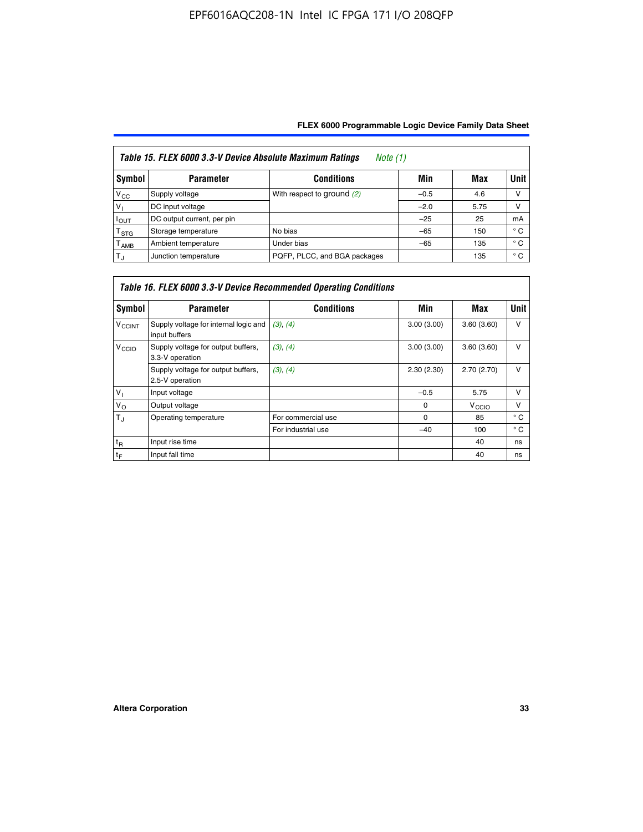| Table 15. FLEX 6000 3.3-V Device Absolute Maximum Ratings<br><i>Note</i> $(1)$ |                            |                              |        |      |              |  |  |  |  |
|--------------------------------------------------------------------------------|----------------------------|------------------------------|--------|------|--------------|--|--|--|--|
| Symbol                                                                         | <b>Parameter</b>           | <b>Conditions</b>            | Min    | Max  | Unit         |  |  |  |  |
| $V_{\rm CC}$                                                                   | Supply voltage             | With respect to ground (2)   | $-0.5$ | 4.6  | ν            |  |  |  |  |
| $V_1$                                                                          | DC input voltage           |                              | $-2.0$ | 5.75 | ν            |  |  |  |  |
| $I_{\text{OUT}}$                                                               | DC output current, per pin |                              | $-25$  | 25   | mA           |  |  |  |  |
| T <sub>STG</sub>                                                               | Storage temperature        | No bias                      | $-65$  | 150  | $^{\circ}$ C |  |  |  |  |
| Т <sub>АМВ</sub>                                                               | Ambient temperature        | Under bias                   | $-65$  | 135  | $^{\circ}$ C |  |  |  |  |
| $T_{\rm J}$                                                                    | Junction temperature       | PQFP, PLCC, and BGA packages |        | 135  | $^{\circ}$ C |  |  |  |  |

| Table 16. FLEX 6000 3.3-V Device Recommended Operating Conditions |                                                        |                    |            |                   |              |  |  |  |  |
|-------------------------------------------------------------------|--------------------------------------------------------|--------------------|------------|-------------------|--------------|--|--|--|--|
| Symbol                                                            | <b>Parameter</b>                                       | <b>Conditions</b>  | Min        | Max               | <b>Unit</b>  |  |  |  |  |
| <b>V<sub>CCINT</sub></b>                                          | Supply voltage for internal logic and<br>input buffers | (3), (4)           | 3.00(3.00) | 3.60(3.60)        | $\vee$       |  |  |  |  |
| V <sub>CCIO</sub>                                                 | Supply voltage for output buffers,<br>3.3-V operation  | (3), (4)           | 3.00(3.00) | 3.60(3.60)        | v            |  |  |  |  |
|                                                                   | Supply voltage for output buffers,<br>2.5-V operation  | (3), (4)           | 2.30(2.30) | 2.70(2.70)        | $\vee$       |  |  |  |  |
| $V_{\perp}$                                                       | Input voltage                                          |                    | $-0.5$     | 5.75              | $\mathsf{v}$ |  |  |  |  |
| $V_{\rm O}$                                                       | Output voltage                                         |                    | 0          | V <sub>CCIO</sub> | $\vee$       |  |  |  |  |
| $T_{\rm J}$                                                       | Operating temperature                                  | For commercial use | 0          | 85                | $^{\circ}$ C |  |  |  |  |
|                                                                   |                                                        | For industrial use | $-40$      | 100               | $^{\circ}$ C |  |  |  |  |
| $t_{R}$                                                           | Input rise time                                        |                    |            | 40                | ns           |  |  |  |  |
| $t_F$                                                             | Input fall time                                        |                    |            | 40                | ns           |  |  |  |  |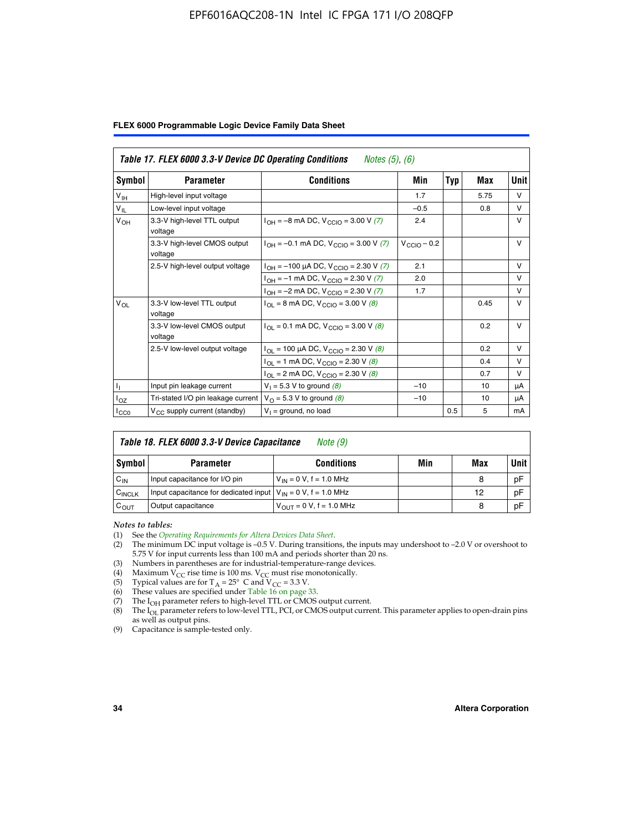### EPF6016AQC208-1N Intel IC FPGA 171 I/O 208QFP

|  |  |  | FLEX 6000 Programmable Logic Device Family Data Sheet |  |  |  |  |  |
|--|--|--|-------------------------------------------------------|--|--|--|--|--|
|--|--|--|-------------------------------------------------------|--|--|--|--|--|

|                      | Table 17. FLEX 6000 3.3-V Device DC Operating Conditions<br><i>Notes</i> $(5)$ , $(6)$ |                                                                                 |                         |     |      |              |  |  |  |  |
|----------------------|----------------------------------------------------------------------------------------|---------------------------------------------------------------------------------|-------------------------|-----|------|--------------|--|--|--|--|
| Symbol               | <b>Parameter</b>                                                                       | <b>Conditions</b>                                                               | Min                     | Typ | Max  | <b>Unit</b>  |  |  |  |  |
| V <sub>IH</sub>      | High-level input voltage                                                               |                                                                                 | 1.7                     |     | 5.75 | $\vee$       |  |  |  |  |
| $V_{IL}$             | Low-level input voltage                                                                |                                                                                 | $-0.5$                  |     | 0.8  | $\vee$       |  |  |  |  |
| V <sub>ОН</sub>      | 3.3-V high-level TTL output<br>voltage                                                 | $I_{OH} = -8$ mA DC, $V_{CClO} = 3.00$ V (7)                                    | 2.4                     |     |      | v            |  |  |  |  |
|                      | 3.3-V high-level CMOS output<br>voltage                                                | $I_{OH} = -0.1$ mA DC, $V_{CGIO} = 3.00$ V (7)                                  | $V_{\text{CCIO}} - 0.2$ |     |      | $\vee$       |  |  |  |  |
|                      | 2.5-V high-level output voltage                                                        | $I_{OH} = -100 \mu A DC$ , $V_{CCIO} = 2.30 V (7)$                              | 2.1                     |     |      | $\vee$       |  |  |  |  |
|                      |                                                                                        | $I_{OH} = -1$ mA DC, $V_{CCIO} = 2.30 V (7)$                                    | 2.0                     |     |      | $\vee$       |  |  |  |  |
|                      |                                                                                        | $I_{OH} = -2$ mA DC, $V_{CCIO} = 2.30$ V (7)                                    | 1.7                     |     |      | $\vee$       |  |  |  |  |
| $V_{OL}$             | 3.3-V low-level TTL output<br>voltage                                                  | $I_{\text{OI}} = 8 \text{ mA DC}$ , $V_{\text{CCl}\Omega} = 3.00 \text{ V}$ (8) |                         |     | 0.45 | $\mathsf{V}$ |  |  |  |  |
|                      | 3.3-V low-level CMOS output<br>voltage                                                 | $I_{OL} = 0.1$ mA DC, $V_{CCIO} = 3.00$ V (8)                                   |                         |     | 0.2  | $\vee$       |  |  |  |  |
|                      | 2.5-V low-level output voltage                                                         | $I_{OL}$ = 100 µA DC, $V_{CCIO}$ = 2.30 V (8)                                   |                         |     | 0.2  | $\vee$       |  |  |  |  |
|                      |                                                                                        | $I_{OL}$ = 1 mA DC, V <sub>CCIO</sub> = 2.30 V (8)                              |                         |     | 0.4  | $\vee$       |  |  |  |  |
|                      |                                                                                        | $I_{OL}$ = 2 mA DC, $V_{CCIO}$ = 2.30 V (8)                                     |                         |     | 0.7  | v            |  |  |  |  |
| $\mathbf{I}_{\perp}$ | Input pin leakage current                                                              | $V_1 = 5.3 V$ to ground (8)                                                     | $-10$                   |     | 10   | μA           |  |  |  |  |
| $I_{OZ}$             | Tri-stated I/O pin leakage current                                                     | $V_{\Omega}$ = 5.3 V to ground (8)                                              | $-10$                   |     | 10   | μA           |  |  |  |  |
| ICCO                 | $V_{CC}$ supply current (standby)                                                      | $V_1$ = ground, no load                                                         |                         | 0.5 | 5    | mA           |  |  |  |  |

| Table 18. FLEX 6000 3.3-V Device Capacitance<br>Note (9) |                                                                    |                                |     |     |             |  |  |  |  |
|----------------------------------------------------------|--------------------------------------------------------------------|--------------------------------|-----|-----|-------------|--|--|--|--|
| Symbol                                                   | <b>Parameter</b>                                                   | <b>Conditions</b>              | Min | Max | <b>Unit</b> |  |  |  |  |
| $C_{IN}$                                                 | Input capacitance for I/O pin                                      | $V_{IN} = 0 V$ , f = 1.0 MHz   |     | 8   | pF          |  |  |  |  |
| C <sub>INCLK</sub>                                       | Input capacitance for dedicated input $V_{IN} = 0 V$ , f = 1.0 MHz |                                |     | 12  | pF          |  |  |  |  |
| $C_{OUT}$                                                | Output capacitance                                                 | $V_{OIII} = 0 V$ , f = 1.0 MHz |     | 8   | pF          |  |  |  |  |

*Notes to tables:*

- (3) Numbers in parentheses are for industrial-temperature-range devices.
- (4) Maximum V<sub>CC</sub> rise time is 100 ms. V<sub>CC</sub> must rise monotonically.
- 
- (5) Typical values are for  $T_A = 25^\circ$  C and  $V_{CC} = 3.3$  V.<br>(6) These values are specified under Table 16 on page 33.
- (7) The  $I_{OH}$  parameter refers to high-level TTL or CMOS output current.
- (8) The  $I_{OL}$  parameter refers to low-level TTL, PCI, or CMOS output current. This parameter applies to open-drain pins as well as output pins.

(9) Capacitance is sample-tested only.

<sup>(1)</sup> See the *[Operating Requirements for Altera Devices Data Sheet](http://www.altera.com/literature/ds/dsoprq.pdf)*.

<sup>(2)</sup> The minimum DC input voltage is –0.5 V. During transitions, the inputs may undershoot to –2.0 V or overshoot to 5.75 V for input currents less than 100 mA and periods shorter than 20 ns.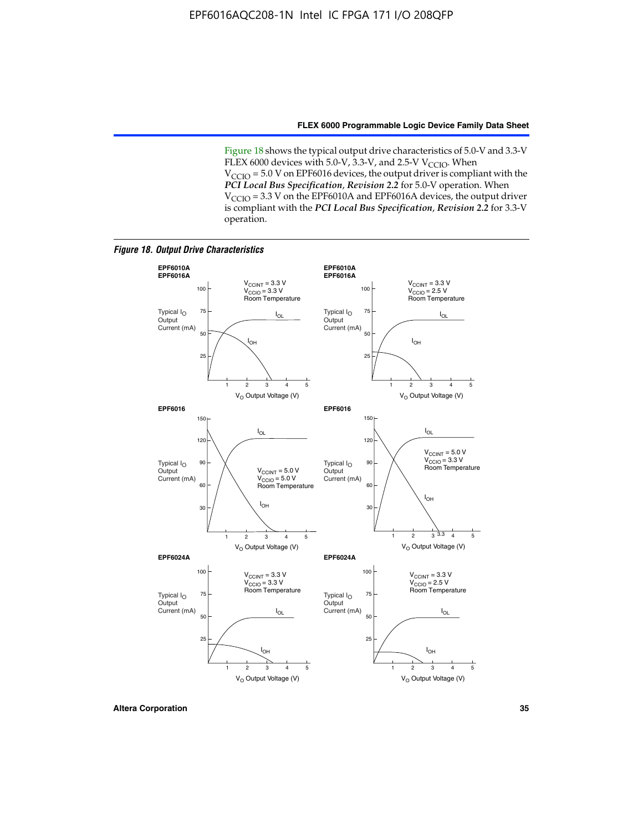Figure 18 shows the typical output drive characteristics of 5.0-V and 3.3-V FLEX 6000 devices with 5.0-V,  $3.3$ -V, and 2.5-V V<sub>CCIO</sub>. When  $V_{\text{CCIO}}$  = 5.0 V on EPF6016 devices, the output driver is compliant with the *PCI Local Bus Specification*, *Revision 2.2* for 5.0-V operation. When  $V_{\text{CCIO}} = 3.3$  V on the EPF6010A and EPF6016A devices, the output driver is compliant with the *PCI Local Bus Specification*, *Revision 2.2* for 3.3-V operation.

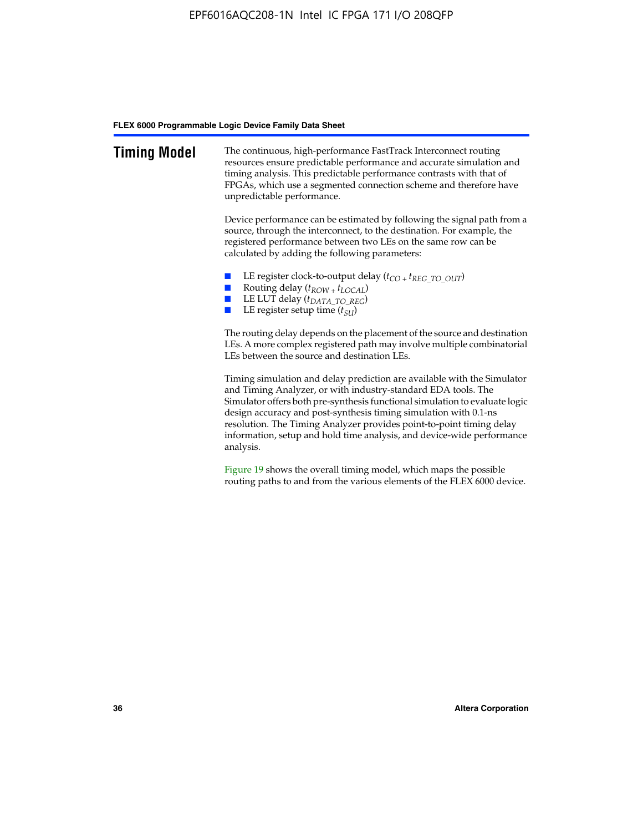| <b>Timing Model</b> | The continuous, high-performance FastTrack Interconnect routing<br>resources ensure predictable performance and accurate simulation and<br>timing analysis. This predictable performance contrasts with that of<br>FPGAs, which use a segmented connection scheme and therefore have<br>unpredictable performance.                                                                                                                                         |
|---------------------|------------------------------------------------------------------------------------------------------------------------------------------------------------------------------------------------------------------------------------------------------------------------------------------------------------------------------------------------------------------------------------------------------------------------------------------------------------|
|                     | Device performance can be estimated by following the signal path from a<br>source, through the interconnect, to the destination. For example, the<br>registered performance between two LEs on the same row can be<br>calculated by adding the following parameters:                                                                                                                                                                                       |
|                     | LE register clock-to-output delay $(t_{CO} + t_{REG\_TO\_OUT})$<br>Routing delay $(t_{ROW} + t_{LOCAL})$<br><b>The Co</b><br>LE LUT delay (t <sub>DATA_TO_REG</sub> )<br>LE register setup time $(t_{SI})$                                                                                                                                                                                                                                                 |
|                     | The routing delay depends on the placement of the source and destination<br>LEs. A more complex registered path may involve multiple combinatorial<br>LEs between the source and destination LEs.                                                                                                                                                                                                                                                          |
|                     | Timing simulation and delay prediction are available with the Simulator<br>and Timing Analyzer, or with industry-standard EDA tools. The<br>Simulator offers both pre-synthesis functional simulation to evaluate logic<br>design accuracy and post-synthesis timing simulation with 0.1-ns<br>resolution. The Timing Analyzer provides point-to-point timing delay<br>information, setup and hold time analysis, and device-wide performance<br>analysis. |
|                     | Figure 19 shows the overall timing model, which maps the possible                                                                                                                                                                                                                                                                                                                                                                                          |

routing paths to and from the various elements of the FLEX 6000 device.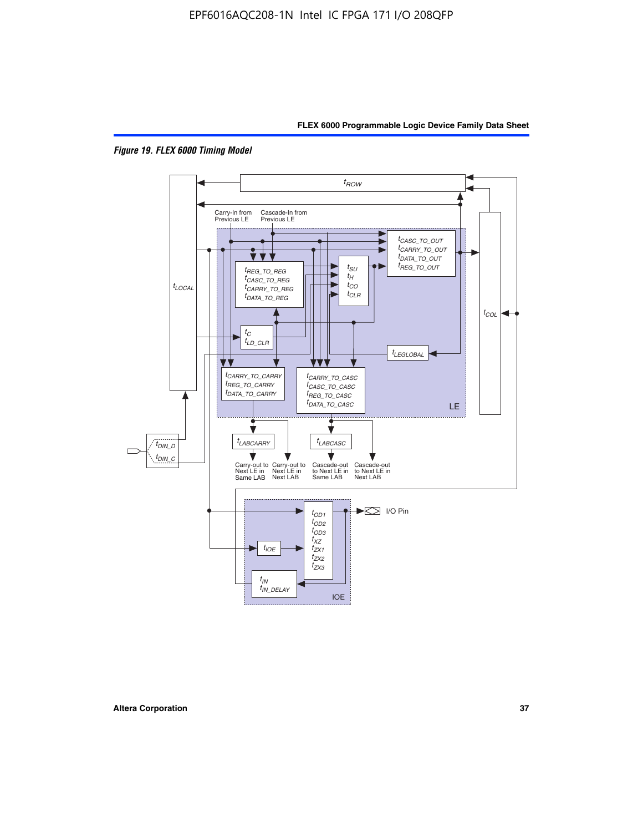



*Figure 19. FLEX 6000 Timing Model*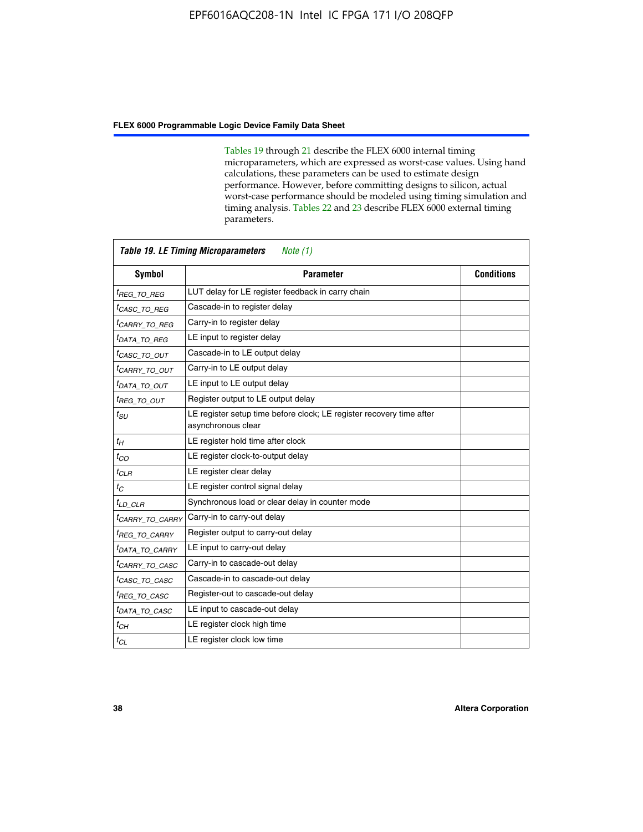Tables 19 through 21 describe the FLEX 6000 internal timing microparameters, which are expressed as worst-case values. Using hand calculations, these parameters can be used to estimate design performance. However, before committing designs to silicon, actual worst-case performance should be modeled using timing simulation and timing analysis. Tables 22 and 23 describe FLEX 6000 external timing parameters.

| <b>Symbol</b>               | <b>Parameter</b>                                                                           | <b>Conditions</b> |
|-----------------------------|--------------------------------------------------------------------------------------------|-------------------|
| <sup>t</sup> REG TO REG     | LUT delay for LE register feedback in carry chain                                          |                   |
| <sup>t</sup> CASC TO REG    | Cascade-in to register delay                                                               |                   |
| <sup>t</sup> CARRY TO REG   | Carry-in to register delay                                                                 |                   |
| <sup>t</sup> DATA_TO_REG    | LE input to register delay                                                                 |                   |
| <sup>t</sup> CASC_TO_OUT    | Cascade-in to LE output delay                                                              |                   |
| <sup>t</sup> CARRY_TO_OUT   | Carry-in to LE output delay                                                                |                   |
| <sup>t</sup> DATA TO OUT    | LE input to LE output delay                                                                |                   |
| <sup>t</sup> REG_TO_OUT     | Register output to LE output delay                                                         |                   |
| $t_{\scriptstyle SU}$       | LE register setup time before clock; LE register recovery time after<br>asynchronous clear |                   |
| $t_H$                       | LE register hold time after clock                                                          |                   |
| $t_{CO}$                    | LE register clock-to-output delay                                                          |                   |
| $t_{CLR}$                   | LE register clear delay                                                                    |                   |
| $t_C$                       | LE register control signal delay                                                           |                   |
| $t_{LD\_CLR}$               | Synchronous load or clear delay in counter mode                                            |                   |
| <sup>t</sup> CARRY_TO_CARRY | Carry-in to carry-out delay                                                                |                   |
| <sup>t</sup> REG TO CARRY   | Register output to carry-out delay                                                         |                   |
| <sup>t</sup> DATA TO CARRY  | LE input to carry-out delay                                                                |                   |
| <sup>t</sup> CARRY TO CASC  | Carry-in to cascade-out delay                                                              |                   |
| <sup>t</sup> CASC TO CASC   | Cascade-in to cascade-out delay                                                            |                   |
| <sup>t</sup> REG TO CASC    | Register-out to cascade-out delay                                                          |                   |
| <sup>t</sup> DATA TO CASC   | LE input to cascade-out delay                                                              |                   |
| $t_{CH}$                    | LE register clock high time                                                                |                   |
| $t_{CL}$                    | LE register clock low time                                                                 |                   |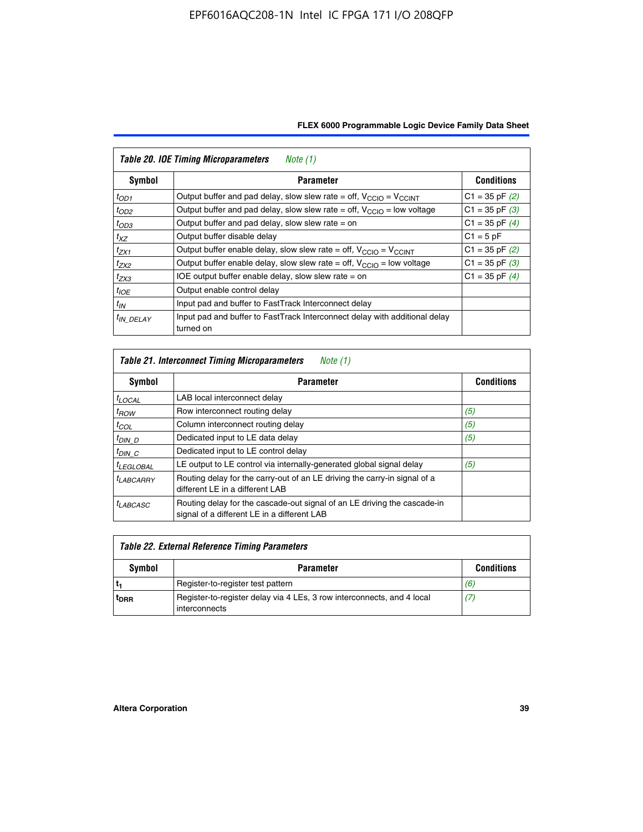| <b>Table 20. IOE Timing Microparameters</b><br>Note (1) |                                                                                         |                    |  |  |  |  |  |
|---------------------------------------------------------|-----------------------------------------------------------------------------------------|--------------------|--|--|--|--|--|
| Symbol                                                  | <b>Parameter</b>                                                                        | <b>Conditions</b>  |  |  |  |  |  |
| $t_{OD1}$                                               | Output buffer and pad delay, slow slew rate = off, $V_{\text{CCIO}} = V_{\text{CCINT}}$ | $C1 = 35$ pF $(2)$ |  |  |  |  |  |
| $t_{OD2}$                                               | Output buffer and pad delay, slow slew rate = off, $V_{CCIO}$ = low voltage             | $C1 = 35$ pF $(3)$ |  |  |  |  |  |
| $t_{OD3}$                                               | Output buffer and pad delay, slow slew rate $=$ on                                      | $C1 = 35$ pF $(4)$ |  |  |  |  |  |
| $t_{XZ}$                                                | Output buffer disable delay                                                             | $C1 = 5pF$         |  |  |  |  |  |
| $t_{ZX1}$                                               | Output buffer enable delay, slow slew rate = off, $V_{\text{CCIO}} = V_{\text{CCINT}}$  | $C1 = 35$ pF $(2)$ |  |  |  |  |  |
| $t_{ZX2}$                                               | Output buffer enable delay, slow slew rate = off, $V_{\text{CCIO}}$ = low voltage       | $C1 = 35$ pF $(3)$ |  |  |  |  |  |
| $t_{ZX3}$                                               | IOE output buffer enable delay, slow slew rate $=$ on                                   | $C1 = 35$ pF $(4)$ |  |  |  |  |  |
| $t_{IOE}$                                               | Output enable control delay                                                             |                    |  |  |  |  |  |
| $t_{IN}$                                                | Input pad and buffer to FastTrack Interconnect delay                                    |                    |  |  |  |  |  |
| <sup>t</sup> IN DELAY                                   | Input pad and buffer to FastTrack Interconnect delay with additional delay<br>turned on |                    |  |  |  |  |  |

| Table 21. Interconnect Timing Microparameters<br>Note (1) |                                                                                                                         |                   |  |  |  |  |  |
|-----------------------------------------------------------|-------------------------------------------------------------------------------------------------------------------------|-------------------|--|--|--|--|--|
| Symbol                                                    | <b>Parameter</b>                                                                                                        | <b>Conditions</b> |  |  |  |  |  |
| $t_{LOCAL}$                                               | LAB local interconnect delay                                                                                            |                   |  |  |  |  |  |
| $t_{ROW}$                                                 | Row interconnect routing delay                                                                                          | (5)               |  |  |  |  |  |
| $t_{COL}$                                                 | Column interconnect routing delay                                                                                       | (5)               |  |  |  |  |  |
| $t_{DIN\_D}$                                              | Dedicated input to LE data delay                                                                                        | (5)               |  |  |  |  |  |
| $t_{DIN}$ $C$                                             | Dedicated input to LE control delay                                                                                     |                   |  |  |  |  |  |
| $t_{LEGLOBAL}$                                            | LE output to LE control via internally-generated global signal delay                                                    | (5)               |  |  |  |  |  |
| $t_{LABCAARY}$                                            | Routing delay for the carry-out of an LE driving the carry-in signal of a<br>different LE in a different LAB            |                   |  |  |  |  |  |
| $t_{LABCASC}$                                             | Routing delay for the cascade-out signal of an LE driving the cascade-in<br>signal of a different LE in a different LAB |                   |  |  |  |  |  |

| Table 22. External Reference Timing Parameters |                                                                                         |                   |  |  |  |  |
|------------------------------------------------|-----------------------------------------------------------------------------------------|-------------------|--|--|--|--|
| Symbol                                         | <b>Parameter</b>                                                                        | <b>Conditions</b> |  |  |  |  |
|                                                | Register-to-register test pattern                                                       | (6)               |  |  |  |  |
| <sup>t</sup> DRR                               | Register-to-register delay via 4 LEs, 3 row interconnects, and 4 local<br>interconnects | (7)               |  |  |  |  |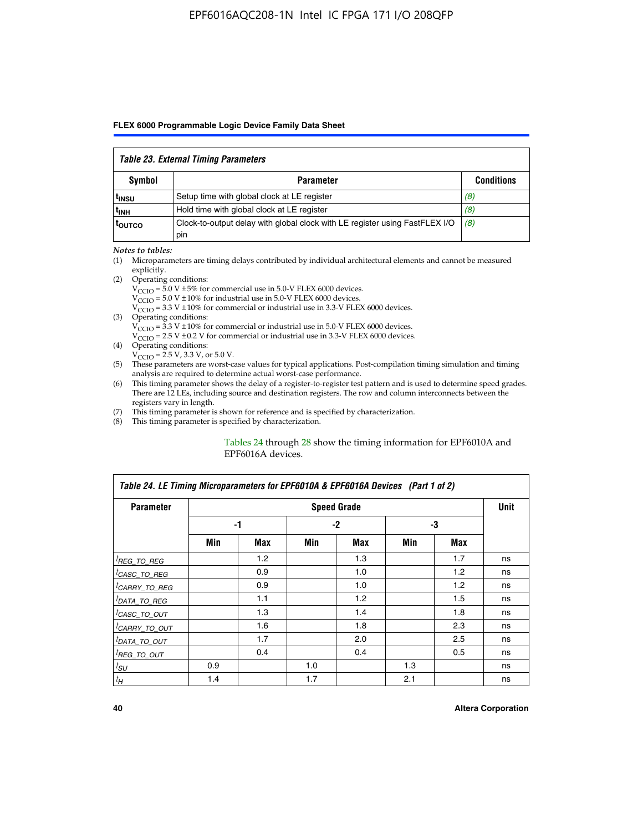#### *Table 23. External Timing Parameters*

|                   | <b>Symbol</b><br><b>Parameter</b>                                                  |                   |  |  |  |  |  |  |
|-------------------|------------------------------------------------------------------------------------|-------------------|--|--|--|--|--|--|
|                   |                                                                                    | <b>Conditions</b> |  |  |  |  |  |  |
| <sup>I</sup> INSU | Setup time with global clock at LE register                                        | (8)               |  |  |  |  |  |  |
| ւ <sub>INH</sub>  | Hold time with global clock at LE register                                         | (8)               |  |  |  |  |  |  |
| toutco            | Clock-to-output delay with global clock with LE register using FastFLEX I/O<br>pin | (8)               |  |  |  |  |  |  |

#### *Notes to tables:*

- (1) Microparameters are timing delays contributed by individual architectural elements and cannot be measured explicitly.
- (2) Operating conditions:  $V_{\text{CCIO}} = 5.0 \text{ V} \pm 5\%$  for commercial use in 5.0-V FLEX 6000 devices.  $V_{\text{CCIO}} = 5.0 \text{ V} \pm 10\%$  for industrial use in 5.0-V FLEX 6000 devices.  $V<sub>CCO</sub> = 3.3 V ± 10%$  for commercial or industrial use in 3.3-V FLEX 6000 devices. (3) Operating conditions:
	- $V_{\text{CCIO}} = 3.3 \text{ V} \pm 10\%$  for commercial or industrial use in 5.0-V FLEX 6000 devices.
		- $V_{\text{CCIO}}$  = 2.5 V ± 0.2 V for commercial or industrial use in 3.3-V FLEX 6000 devices.
- (4) Operating conditions:  $V_{\text{CCIO}} = 2.5 \text{ V}$ , 3.3 V, or 5.0 V.
- (5) These parameters are worst-case values for typical applications. Post-compilation timing simulation and timing analysis are required to determine actual worst-case performance.
- (6) This timing parameter shows the delay of a register-to-register test pattern and is used to determine speed grades. There are 12 LEs, including source and destination registers. The row and column interconnects between the registers vary in length.
- (7) This timing parameter is shown for reference and is specified by characterization.
- (8) This timing parameter is specified by characterization.

#### Tables 24 through 28 show the timing information for EPF6010A and EPF6016A devices.

| Table 24. LE Timing Microparameters for EPF6010A & EPF6016A Devices (Part 1 of 2) |     |     |     |                    |     |     |             |  |
|-----------------------------------------------------------------------------------|-----|-----|-----|--------------------|-----|-----|-------------|--|
| <b>Parameter</b>                                                                  |     |     |     | <b>Speed Grade</b> |     |     | <b>Unit</b> |  |
|                                                                                   |     | -1  |     | $-2$               |     | -3  |             |  |
|                                                                                   | Min | Max | Min | Max                | Min | Max |             |  |
| <sup>[</sup> REG_TO_REG                                                           |     | 1.2 |     | 1.3                |     | 1.7 | ns          |  |
| <sup>I</sup> CASC_TO_REG                                                          |     | 0.9 |     | 1.0                |     | 1.2 | ns          |  |
| <sup>I</sup> CARRY_TO_REG                                                         |     | 0.9 |     | 1.0                |     | 1.2 | ns          |  |
| <sup>I</sup> DATA_TO_REG                                                          |     | 1.1 |     | 1.2                |     | 1.5 | ns          |  |
| <sup>I</sup> CASC_TO_OUT                                                          |     | 1.3 |     | 1.4                |     | 1.8 | ns          |  |
| <sup>I</sup> CARRY_TO_OUT                                                         |     | 1.6 |     | 1.8                |     | 2.3 | ns          |  |
| <sup>I</sup> DATA_TO_OUT                                                          |     | 1.7 |     | 2.0                |     | 2.5 | ns          |  |
| <sup>I</sup> REG_TO_OUT                                                           |     | 0.4 |     | 0.4                |     | 0.5 | ns          |  |
| $t_{SU}$                                                                          | 0.9 |     | 1.0 |                    | 1.3 |     | ns          |  |
| $t_H$                                                                             | 1.4 |     | 1.7 |                    | 2.1 |     | ns          |  |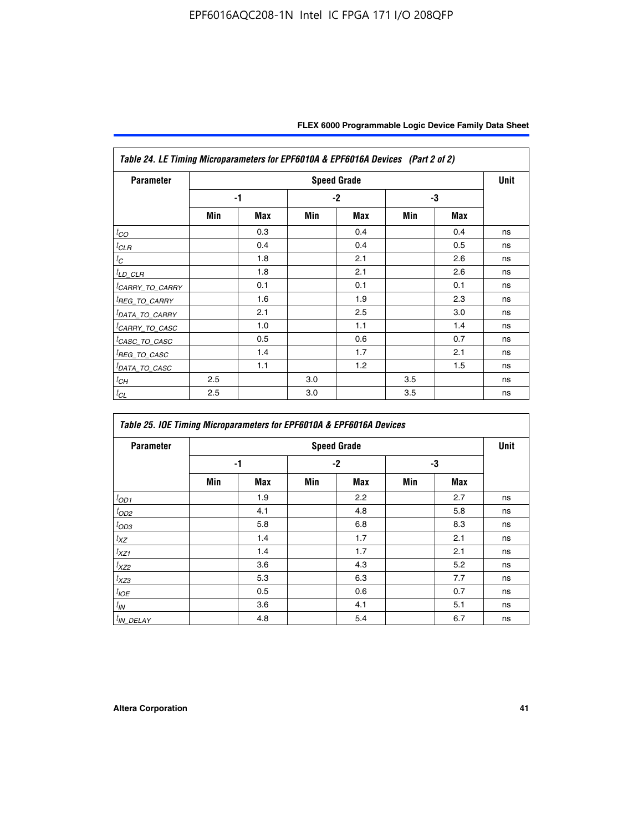| <b>Parameter</b>            |     |     |     | <b>Speed Grade</b> |     |     | <b>Unit</b> |
|-----------------------------|-----|-----|-----|--------------------|-----|-----|-------------|
|                             |     | -1  |     | $-2$               |     | -3  |             |
|                             | Min | Max | Min | Max                | Min | Max |             |
| $t_{CO}$                    |     | 0.3 |     | 0.4                |     | 0.4 | ns          |
| ${}^{l}$ CLR                |     | 0.4 |     | 0.4                |     | 0.5 | ns          |
| $t_C$                       |     | 1.8 |     | 2.1                |     | 2.6 | ns          |
| ${}^{l}$ LD_CLR             |     | 1.8 |     | 2.1                |     | 2.6 | ns          |
| <sup>I</sup> CARRY_TO_CARRY |     | 0.1 |     | 0.1                |     | 0.1 | ns          |
| <sup>I</sup> REG_TO_CARRY   |     | 1.6 |     | 1.9                |     | 2.3 | ns          |
| <sup>I</sup> DATA_TO_CARRY  |     | 2.1 |     | 2.5                |     | 3.0 | ns          |
| <sup>l</sup> CARRY_TO_CASC  |     | 1.0 |     | 1.1                |     | 1.4 | ns          |
| <sup>I</sup> CASC_TO_CASC   |     | 0.5 |     | 0.6                |     | 0.7 | ns          |
| <sup>I</sup> REG_TO_CASC    |     | 1.4 |     | 1.7                |     | 2.1 | ns          |
| <sup>I</sup> DATA_TO_CASC   |     | 1.1 |     | 1.2                |     | 1.5 | ns          |
| <sup>I</sup> CH             | 2.5 |     | 3.0 |                    | 3.5 |     | ns          |
| $t_{CL}$                    | 2.5 |     | 3.0 |                    | 3.5 |     | ns          |

| Table 25. IOE Timing Microparameters for EPF6010A & EPF6016A Devices |                    |            |      |            |     |            |    |  |  |
|----------------------------------------------------------------------|--------------------|------------|------|------------|-----|------------|----|--|--|
| <b>Parameter</b>                                                     | <b>Speed Grade</b> |            |      |            |     |            |    |  |  |
|                                                                      |                    | -1         | $-2$ |            | -3  |            |    |  |  |
|                                                                      | Min                | <b>Max</b> | Min  | <b>Max</b> | Min | <b>Max</b> |    |  |  |
| $t_{OD1}$                                                            |                    | 1.9        |      | 2.2        |     | 2.7        | ns |  |  |
| $t_{OD2}$                                                            |                    | 4.1        |      | 4.8        |     | 5.8        | ns |  |  |
| $t_{OD3}$                                                            |                    | 5.8        |      | 6.8        |     | 8.3        | ns |  |  |
| $t_{\text{XZ}}$                                                      |                    | 1.4        |      | 1.7        |     | 2.1        | ns |  |  |
| $t_{XZ1}$                                                            |                    | 1.4        |      | 1.7        |     | 2.1        | ns |  |  |
| $t_{XZ2}$                                                            |                    | 3.6        |      | 4.3        |     | 5.2        | ns |  |  |
| $t_{XZ3}$                                                            |                    | 5.3        |      | 6.3        |     | 7.7        | ns |  |  |
| $t_{IOE}$                                                            |                    | 0.5        |      | 0.6        |     | 0.7        | ns |  |  |
| $t_{IN}$                                                             |                    | 3.6        |      | 4.1        |     | 5.1        | ns |  |  |
| $t_{IN\_DELAY}$                                                      |                    | 4.8        |      | 5.4        |     | 6.7        | ns |  |  |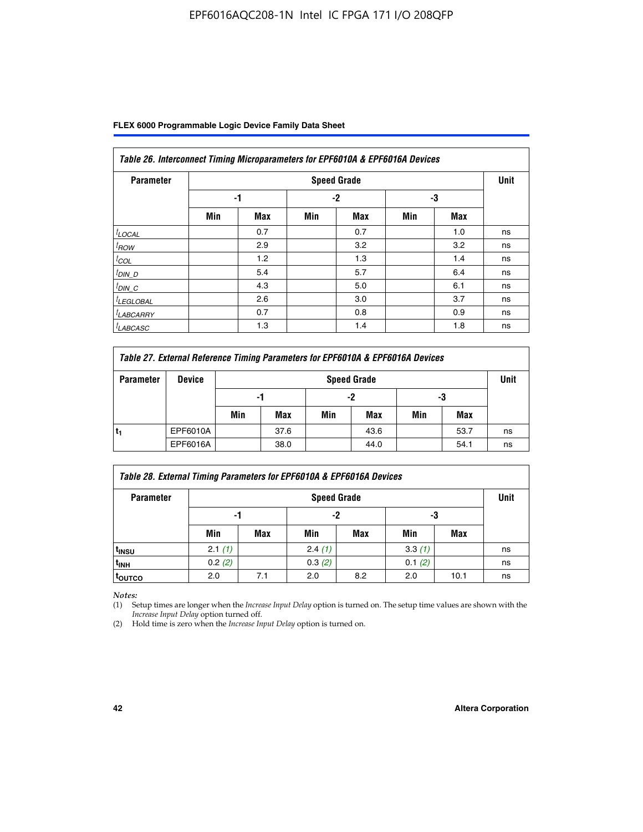| Table 26. Interconnect Timing Microparameters for EPF6010A & EPF6016A Devices |     |     |     |                    |     |     |             |  |  |
|-------------------------------------------------------------------------------|-----|-----|-----|--------------------|-----|-----|-------------|--|--|
| <b>Parameter</b>                                                              |     |     |     | <b>Speed Grade</b> |     |     | <b>Unit</b> |  |  |
|                                                                               |     | -1  |     | $-2$               |     | -3  |             |  |  |
|                                                                               | Min | Max | Min | Max                | Min | Max |             |  |  |
| $t$ LOCAL                                                                     |     | 0.7 |     | 0.7                |     | 1.0 | ns          |  |  |
| $t_{\text{ROW}}$                                                              |     | 2.9 |     | 3.2                |     | 3.2 | ns          |  |  |
| $t_{COL}$                                                                     |     | 1.2 |     | 1.3                |     | 1.4 | ns          |  |  |
| $t_{DIN\_D}$                                                                  |     | 5.4 |     | 5.7                |     | 6.4 | ns          |  |  |
| $t_{DIN\_C}$                                                                  |     | 4.3 |     | 5.0                |     | 6.1 | ns          |  |  |
| <sup>I</sup> LEGLOBAL                                                         |     | 2.6 |     | 3.0                |     | 3.7 | ns          |  |  |
| <sup>I</sup> LABCARRY                                                         |     | 0.7 |     | 0.8                |     | 0.9 | ns          |  |  |
| <sup>I</sup> LABCASC                                                          |     | 1.3 |     | 1.4                |     | 1.8 | ns          |  |  |

| Table 27. External Reference Timing Parameters for EPF6010A & EPF6016A Devices |               |     |                    |     |      |     |      |    |  |
|--------------------------------------------------------------------------------|---------------|-----|--------------------|-----|------|-----|------|----|--|
| <b>Parameter</b>                                                               | <b>Device</b> |     | <b>Speed Grade</b> |     |      |     |      |    |  |
|                                                                                |               | -1  |                    | -2  |      | -3  |      |    |  |
|                                                                                |               | Min | Max                | Min | Max  | Min | Max  |    |  |
|                                                                                | EPF6010A      |     | 37.6               |     | 43.6 |     | 53.7 | ns |  |
|                                                                                | EPF6016A      |     | 38.0               |     | 44.0 |     | 54.1 | ns |  |

| Table 28. External Timing Parameters for EPF6010A & EPF6016A Devices |        |                    |        |     |        |      |    |  |  |
|----------------------------------------------------------------------|--------|--------------------|--------|-----|--------|------|----|--|--|
| <b>Parameter</b>                                                     |        | <b>Speed Grade</b> |        |     |        |      |    |  |  |
|                                                                      | -1     |                    | -2     |     | -3     |      |    |  |  |
|                                                                      | Min    | Max                | Min    | Max | Min    | Max  |    |  |  |
| t <sub>insu</sub>                                                    | 2.1(1) |                    | 2.4(1) |     | 3.3(1) |      | ns |  |  |
| <sup>t</sup> inh                                                     | 0.2(2) |                    | 0.3(2) |     | 0.1(2) |      | ns |  |  |
| toutco                                                               | 2.0    | 7.1                | 2.0    | 8.2 | 2.0    | 10.1 | ns |  |  |

*Notes:*

(1) Setup times are longer when the *Increase Input Delay* option is turned on. The setup time values are shown with the *Increase Input Delay* option turned off.

(2) Hold time is zero when the *Increase Input Delay* option is turned on.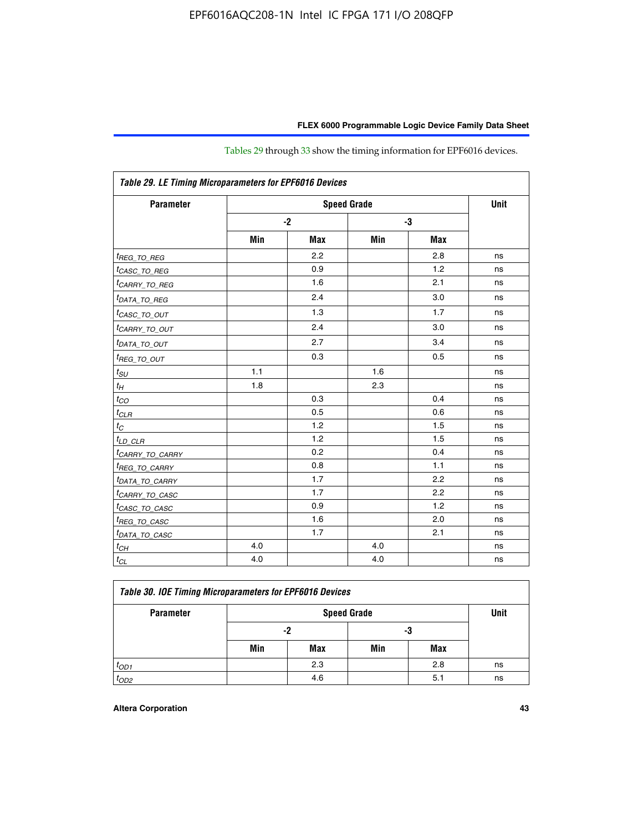| Table 29. LE Timing Microparameters for EPF6016 Devices |      |            |     |            |    |  |  |  |
|---------------------------------------------------------|------|------------|-----|------------|----|--|--|--|
| <b>Parameter</b>                                        |      | Unit       |     |            |    |  |  |  |
|                                                         | $-2$ |            |     | -3         |    |  |  |  |
|                                                         | Min  | <b>Max</b> | Min | <b>Max</b> |    |  |  |  |
| <sup>t</sup> REG_TO_REG                                 |      | 2.2        |     | 2.8        | ns |  |  |  |
| <sup>t</sup> CASC_TO_REG                                |      | 0.9        |     | 1.2        | ns |  |  |  |
| <sup>t</sup> CARRY_TO_REG                               |      | 1.6        |     | 2.1        | ns |  |  |  |
| <sup>t</sup> DATA_TO_REG                                |      | 2.4        |     | 3.0        | ns |  |  |  |
| <sup>t</sup> CASC_TO_OUT                                |      | 1.3        |     | 1.7        | ns |  |  |  |
| <sup>t</sup> CARRY_TO_OUT                               |      | 2.4        |     | 3.0        | ns |  |  |  |
| <sup>t</sup> DATA_TO_OUT                                |      | 2.7        |     | 3.4        | ns |  |  |  |
| $t_{REG\_TO\_OUT}$                                      |      | 0.3        |     | 0.5        | ns |  |  |  |
| $t_{SU}$                                                | 1.1  |            | 1.6 |            | ns |  |  |  |
| $t_H$                                                   | 1.8  |            | 2.3 |            | ns |  |  |  |
| $t_{CO}$                                                |      | 0.3        |     | 0.4        | ns |  |  |  |
| $t_{CLR}$                                               |      | 0.5        |     | 0.6        | ns |  |  |  |
| $t_C$                                                   |      | 1.2        |     | 1.5        | ns |  |  |  |
| $t_{LD\_CLR}$                                           |      | 1.2        |     | 1.5        | ns |  |  |  |
| <i>tCARRY_TO_CARRY</i>                                  |      | 0.2        |     | 0.4        | ns |  |  |  |
| <sup>t</sup> REG_TO_CARRY                               |      | 0.8        |     | 1.1        | ns |  |  |  |
| <sup>t</sup> DATA_TO_CARRY                              |      | 1.7        |     | 2.2        | ns |  |  |  |
| <sup>t</sup> CARRY_TO_CASC                              |      | 1.7        |     | 2.2        | ns |  |  |  |
| <sup>t</sup> CASC_TO_CASC                               |      | 0.9        |     | 1.2        | ns |  |  |  |
| <sup>t</sup> REG_TO_CASC                                |      | 1.6        |     | 2.0        | ns |  |  |  |
| <sup>t</sup> DATA_TO_CASC                               |      | 1.7        |     | 2.1        | ns |  |  |  |
| $t_{CH}$                                                | 4.0  |            | 4.0 |            | ns |  |  |  |
| $t_{CL}$                                                | 4.0  |            | 4.0 |            | ns |  |  |  |

Tables 29 through 33 show the timing information for EPF6016 devices.

| Table 30. IOE Timing Microparameters for EPF6016 Devices |     |     |                                   |     |    |  |  |  |  |
|----------------------------------------------------------|-----|-----|-----------------------------------|-----|----|--|--|--|--|
| <b>Parameter</b>                                         |     |     | <b>Unit</b><br><b>Speed Grade</b> |     |    |  |  |  |  |
|                                                          |     | -2  | -3                                |     |    |  |  |  |  |
|                                                          | Min | Max | Min                               | Max |    |  |  |  |  |
| $t_{OD1}$                                                |     | 2.3 |                                   | 2.8 | ns |  |  |  |  |
| $t_{OD2}$                                                |     | 4.6 |                                   | 5.1 | ns |  |  |  |  |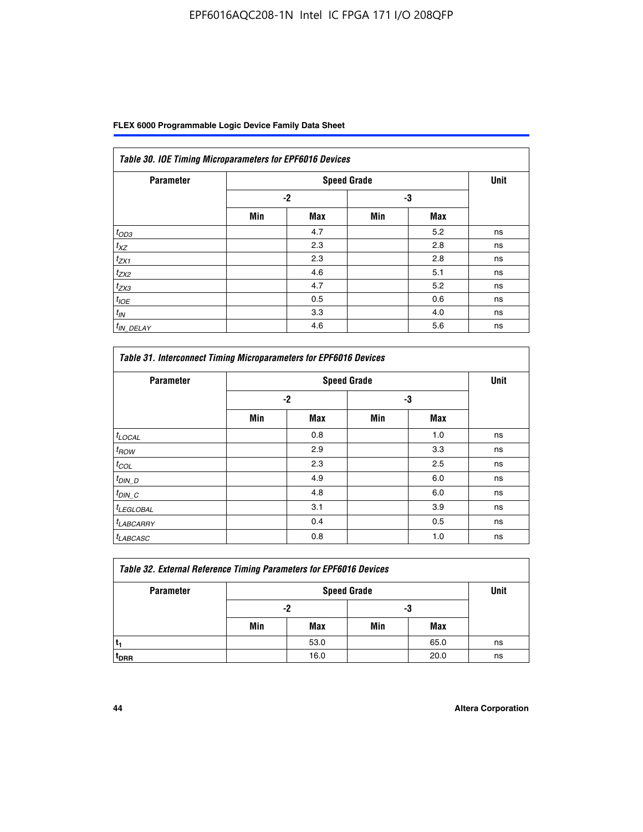| Table 30. IOE Timing Microparameters for EPF6016 Devices |     |                    |     |            |             |  |  |  |  |  |
|----------------------------------------------------------|-----|--------------------|-----|------------|-------------|--|--|--|--|--|
| <b>Parameter</b>                                         |     | <b>Speed Grade</b> |     |            | <b>Unit</b> |  |  |  |  |  |
|                                                          |     | $-2$               |     | -3         |             |  |  |  |  |  |
|                                                          | Min | <b>Max</b>         | Min | <b>Max</b> |             |  |  |  |  |  |
| $t_{OD3}$                                                |     | 4.7                |     | 5.2        | ns          |  |  |  |  |  |
| $t_{XZ}$                                                 |     | 2.3                |     | 2.8        | ns          |  |  |  |  |  |
| $t_{ZX1}$                                                |     | 2.3                |     | 2.8        | ns          |  |  |  |  |  |
| $t_{ZX2}$                                                |     | 4.6                |     | 5.1        | ns          |  |  |  |  |  |
| $t_{ZX3}$                                                |     | 4.7                |     | 5.2        | ns          |  |  |  |  |  |
| $t_{IOE}$                                                |     | 0.5                |     | 0.6        | ns          |  |  |  |  |  |
| $t_{IN}$                                                 |     | 3.3                |     | 4.0        | ns          |  |  |  |  |  |
| $t_{IN}$ DELAY                                           |     | 4.6                |     | 5.6        | ns          |  |  |  |  |  |

| <b>Parameter</b>      |      | <b>Speed Grade</b> |     |            | <b>Unit</b> |
|-----------------------|------|--------------------|-----|------------|-------------|
|                       | $-2$ |                    | -3  |            |             |
|                       | Min  | <b>Max</b>         | Min | <b>Max</b> |             |
| $t_{LOCAL}$           |      | 0.8                |     | 1.0        | ns          |
| $t_{\mathit{ROW}}$    |      | 2.9                |     | 3.3        | ns          |
| $t_{COL}$             |      | 2.3                |     | 2.5        | ns          |
| $t_{DIN\_D}$          |      | 4.9                |     | 6.0        | ns          |
| $t_{DIN\_C}$          |      | 4.8                |     | 6.0        | ns          |
| <sup>t</sup> LEGLOBAL |      | 3.1                |     | 3.9        | ns          |
| <sup>t</sup> LABCARRY |      | 0.4                |     | 0.5        | ns          |
| <b>LABCASC</b>        |      | 0.8                |     | 1.0        | ns          |

| Table 32. External Reference Timing Parameters for EPF6016 Devices |     |                    |     |      |    |  |  |  |  |
|--------------------------------------------------------------------|-----|--------------------|-----|------|----|--|--|--|--|
| <b>Parameter</b>                                                   |     | <b>Speed Grade</b> |     |      |    |  |  |  |  |
|                                                                    |     | -2                 | -3  |      |    |  |  |  |  |
|                                                                    | Min | Max                | Min | Max  |    |  |  |  |  |
|                                                                    |     | 53.0               |     | 65.0 | ns |  |  |  |  |
| <sup>T</sup> DRR                                                   |     | 16.0               |     | 20.0 | ns |  |  |  |  |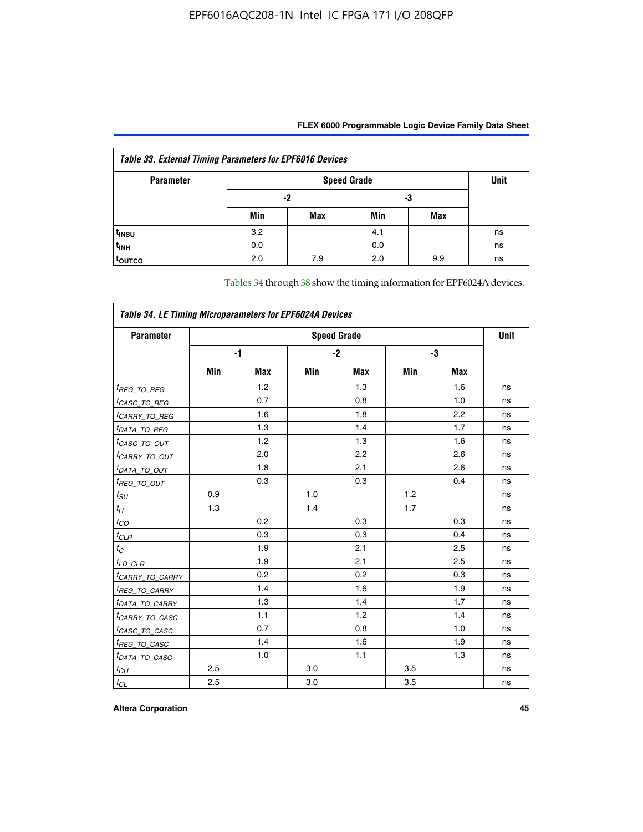| Table 33. External Timing Parameters for EPF6016 Devices |     |                    |     |     |    |  |  |  |  |
|----------------------------------------------------------|-----|--------------------|-----|-----|----|--|--|--|--|
| <b>Parameter</b>                                         |     | <b>Speed Grade</b> |     |     |    |  |  |  |  |
|                                                          |     | -2                 |     | -3  |    |  |  |  |  |
|                                                          | Min | Max                | Min | Max |    |  |  |  |  |
| t <sub>INSU</sub>                                        | 3.2 |                    | 4.1 |     | ns |  |  |  |  |
| $t_{INH}$                                                | 0.0 |                    | 0.0 |     | ns |  |  |  |  |
| <b>TOUTCO</b>                                            | 2.0 | 7.9                | 2.0 | 9.9 | ns |  |  |  |  |

Tables 34 through 38 show the timing information for EPF6024A devices.

| Table 34. LE Timing Microparameters for EPF6024A Devices |                    |            |     |            |     |            |    |  |  |
|----------------------------------------------------------|--------------------|------------|-----|------------|-----|------------|----|--|--|
| <b>Parameter</b>                                         | <b>Speed Grade</b> |            |     |            |     |            |    |  |  |
|                                                          |                    | -1         |     | $-2$       | -3  |            |    |  |  |
|                                                          | Min                | <b>Max</b> | Min | <b>Max</b> | Min | <b>Max</b> |    |  |  |
| <sup>t</sup> REG_TO_REG                                  |                    | 1.2        |     | 1.3        |     | 1.6        | ns |  |  |
| <sup>t</sup> CASC_TO_REG                                 |                    | 0.7        |     | 0.8        |     | 1.0        | ns |  |  |
| <sup>t</sup> CARRY_TO_REG                                |                    | 1.6        |     | 1.8        |     | 2.2        | ns |  |  |
| <sup>t</sup> DATA_TO_REG                                 |                    | 1.3        |     | 1.4        |     | 1.7        | ns |  |  |
| <sup>t</sup> CASC_TO_OUT                                 |                    | 1.2        |     | 1.3        |     | 1.6        | ns |  |  |
| <sup>t</sup> CARRY_TO_OUT                                |                    | 2.0        |     | 2.2        |     | 2.6        | ns |  |  |
| <sup>t</sup> DATA_TO_OUT                                 |                    | 1.8        |     | 2.1        |     | 2.6        | ns |  |  |
| <i>t<sub>REG_TO_OUT</sub></i>                            |                    | 0.3        |     | 0.3        |     | 0.4        | ns |  |  |
| $t_{SU}$                                                 | 0.9                |            | 1.0 |            | 1.2 |            | ns |  |  |
| $t_H$                                                    | 1.3                |            | 1.4 |            | 1.7 |            | ns |  |  |
| $t_{CO}$                                                 |                    | 0.2        |     | 0.3        |     | 0.3        | ns |  |  |
| $t_{CLR}$                                                |                    | 0.3        |     | 0.3        |     | 0.4        | ns |  |  |
| $t_C$                                                    |                    | 1.9        |     | 2.1        |     | 2.5        | ns |  |  |
| $t_{LD\_CLR}$                                            |                    | 1.9        |     | 2.1        |     | 2.5        | ns |  |  |
| <sup>t</sup> CAR <u>RY_TO_CARRY</u>                      |                    | 0.2        |     | 0.2        |     | 0.3        | ns |  |  |
| <sup>t</sup> REG_TO_CARRY                                |                    | 1.4        |     | 1.6        |     | 1.9        | ns |  |  |
| <sup>t</sup> DATA_TO_CARRY                               |                    | 1.3        |     | 1.4        |     | 1.7        | ns |  |  |
| <sup>t</sup> CARRY_TO_CASC                               |                    | 1.1        |     | 1.2        |     | 1.4        | ns |  |  |
| <sup>t</sup> CASC_TO_CASC                                |                    | 0.7        |     | 0.8        |     | 1.0        | ns |  |  |
| <sup>t</sup> REG_TO_CASC                                 |                    | 1.4        |     | 1.6        |     | 1.9        | ns |  |  |
| <sup>t</sup> DATA_TO_CASC                                |                    | 1.0        |     | 1.1        |     | 1.3        | ns |  |  |
| $t_{CH}$                                                 | 2.5                |            | 3.0 |            | 3.5 |            | ns |  |  |
| $t_{\text{CL}}$                                          | 2.5                |            | 3.0 |            | 3.5 |            | ns |  |  |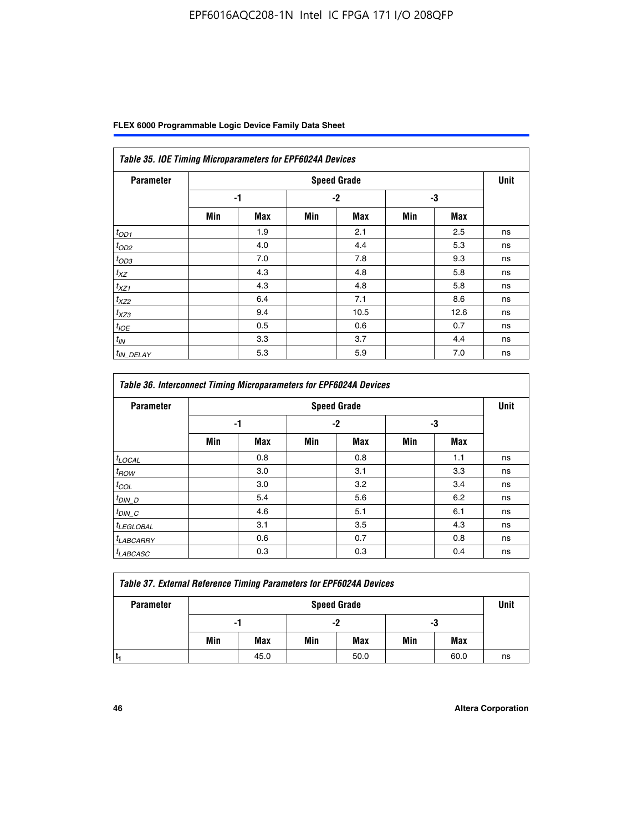| FLEX 6000 Programmable Logic Device Family Data Sheet |  |  |
|-------------------------------------------------------|--|--|
|-------------------------------------------------------|--|--|

| <b>Parameter</b>      |     |            |      | <b>Speed Grade</b> |     |            | <b>Unit</b> |
|-----------------------|-----|------------|------|--------------------|-----|------------|-------------|
|                       |     | -1         | $-2$ |                    | -3  |            |             |
|                       | Min | <b>Max</b> | Min  | <b>Max</b>         | Min | <b>Max</b> |             |
| $t_{OD1}$             |     | 1.9        |      | 2.1                |     | 2.5        | ns          |
| $t_{OD2}$             |     | 4.0        |      | 4.4                |     | 5.3        | ns          |
| $t_{OD3}$             |     | 7.0        |      | 7.8                |     | 9.3        | ns          |
| $t_{XZ}$              |     | 4.3        |      | 4.8                |     | 5.8        | ns          |
| $t_{XZ1}$             |     | 4.3        |      | 4.8                |     | 5.8        | ns          |
| $t_{XZ2}$             |     | 6.4        |      | 7.1                |     | 8.6        | ns          |
| $t_{XZ3}$             |     | 9.4        |      | 10.5               |     | 12.6       | ns          |
| $t_{IOE}$             |     | 0.5        |      | 0.6                |     | 0.7        | ns          |
| $t_{IN}$              |     | 3.3        |      | 3.7                |     | 4.4        | ns          |
| <sup>t</sup> IN_DELAY |     | 5.3        |      | 5.9                |     | 7.0        | ns          |

| Table 36. Interconnect Timing Microparameters for EPF6024A Devices |     |            |     |                    |     |            |             |  |  |  |
|--------------------------------------------------------------------|-----|------------|-----|--------------------|-----|------------|-------------|--|--|--|
| <b>Parameter</b>                                                   |     |            |     | <b>Speed Grade</b> |     |            | <b>Unit</b> |  |  |  |
|                                                                    | -1  |            | -2  |                    | -3  |            |             |  |  |  |
|                                                                    | Min | <b>Max</b> | Min | <b>Max</b>         | Min | <b>Max</b> |             |  |  |  |
| $t_{\text{LOCAL}}$                                                 |     | 0.8        |     | 0.8                |     | 1.1        | ns          |  |  |  |
| $t_{ROW}$                                                          |     | 3.0        |     | 3.1                |     | 3.3        | ns          |  |  |  |
| $t_{COL}$                                                          |     | 3.0        |     | 3.2                |     | 3.4        | ns          |  |  |  |
| $t_{DIN\_D}$                                                       |     | 5.4        |     | 5.6                |     | 6.2        | ns          |  |  |  |
| $t_{DIN\_C}$                                                       |     | 4.6        |     | 5.1                |     | 6.1        | ns          |  |  |  |
| <sup>t</sup> LEGLOBAL                                              |     | 3.1        |     | 3.5                |     | 4.3        | ns          |  |  |  |
| $t_{LABCARAY}$                                                     |     | 0.6        |     | 0.7                |     | 0.8        | ns          |  |  |  |
| <sup>t</sup> LABCASC                                               |     | 0.3        |     | 0.3                |     | 0.4        | ns          |  |  |  |

| <b>Table 37. External Reference Timing Parameters for EPF6024A Devices</b> |                    |      |     |      |     |      |      |
|----------------------------------------------------------------------------|--------------------|------|-----|------|-----|------|------|
| <b>Parameter</b>                                                           | <b>Speed Grade</b> |      |     |      |     |      | Unit |
|                                                                            | -1                 |      |     | -2   |     | -3   |      |
|                                                                            | Min                | Max  | Min | Max  | Min | Max  |      |
|                                                                            |                    | 45.0 |     | 50.0 |     | 60.0 | ns   |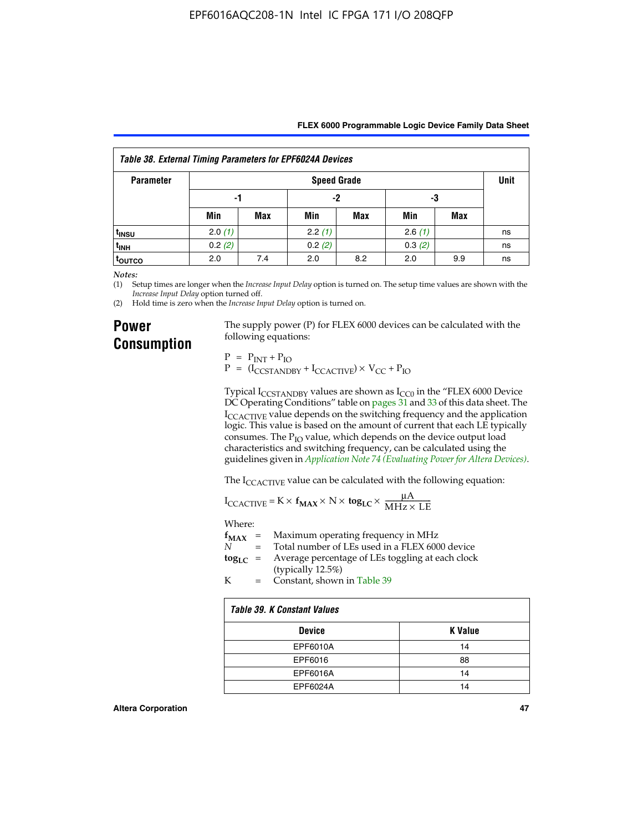|  | FLEX 6000 Programmable Logic Device Family Data Sheet |  |  |  |
|--|-------------------------------------------------------|--|--|--|
|--|-------------------------------------------------------|--|--|--|

| <b>Table 38. External Timing Parameters for EPF6024A Devices</b> |                    |            |        |     |        |     |             |
|------------------------------------------------------------------|--------------------|------------|--------|-----|--------|-----|-------------|
| <b>Parameter</b>                                                 | <b>Speed Grade</b> |            |        |     |        |     | <b>Unit</b> |
|                                                                  | -1                 |            | -2     |     | -3     |     |             |
|                                                                  | Min                | <b>Max</b> | Min    | Max | Min    | Max |             |
| <sup>t</sup> insu                                                | 2.0(1)             |            | 2.2(1) |     | 2.6(1) |     | ns          |
| t <sub>INH</sub>                                                 | 0.2(2)             |            | 0.2(2) |     | 0.3(2) |     | ns          |
| <sup>t</sup> outco                                               | 2.0                | 7.4        | 2.0    | 8.2 | 2.0    | 9.9 | ns          |

*Notes:*

(1) Setup times are longer when the *Increase Input Delay* option is turned on. The setup time values are shown with the *Increase Input Delay* option turned off.

(2) Hold time is zero when the *Increase Input Delay* option is turned on.

## **Power Consumption**

The supply power (P) for FLEX 6000 devices can be calculated with the following equations:

 $P = P_{INT} + P_{IO}$  $P = (I_{CCTANDBY} + I_{CCACTIVE}) \times V_{CC} + P_{IO}$ 

Typical  $I_{CCSTANDBY}$  values are shown as  $I_{CC0}$  in the "FLEX 6000 Device DC Operating Conditions" table on pages 31 and 33 of this data sheet. The I<sub>CCACTIVE</sub> value depends on the switching frequency and the application logic. This value is based on the amount of current that each LE typically consumes. The  $P_{IO}$  value, which depends on the device output load characteristics and switching frequency, can be calculated using the guidelines given in *[Application Note 74 \(Evaluating Power for Altera Devices\)](http://www.altera.com/literature/an/an074.pdf)*.

The I<sub>CCACTIVE</sub> value can be calculated with the following equation:

$$
I_{\text{CCACTIVE}} = K \times f_{\text{MAX}} \times N \times \text{tog}_{\text{LC}} \times \frac{\mu A}{\text{MHz} \times \text{LE}}
$$

Where:

|  | $f_{MAX}$ = Maximum operating frequency in MHz                 |
|--|----------------------------------------------------------------|
|  | $N =$ Total number of LEs used in a FLEX 6000 device           |
|  | $\log_{LC}$ = Average percentage of LEs toggling at each clock |
|  | (typically $12.5\%)$                                           |

K = Constant, shown in Table 39

| <b>Table 39. K Constant Values</b> |                |  |  |  |
|------------------------------------|----------------|--|--|--|
| <b>Device</b>                      | <b>K</b> Value |  |  |  |
| EPF6010A                           | 14             |  |  |  |
| EPF6016                            | 88             |  |  |  |
| EPF6016A                           | 14             |  |  |  |
| EPF6024A                           | 14             |  |  |  |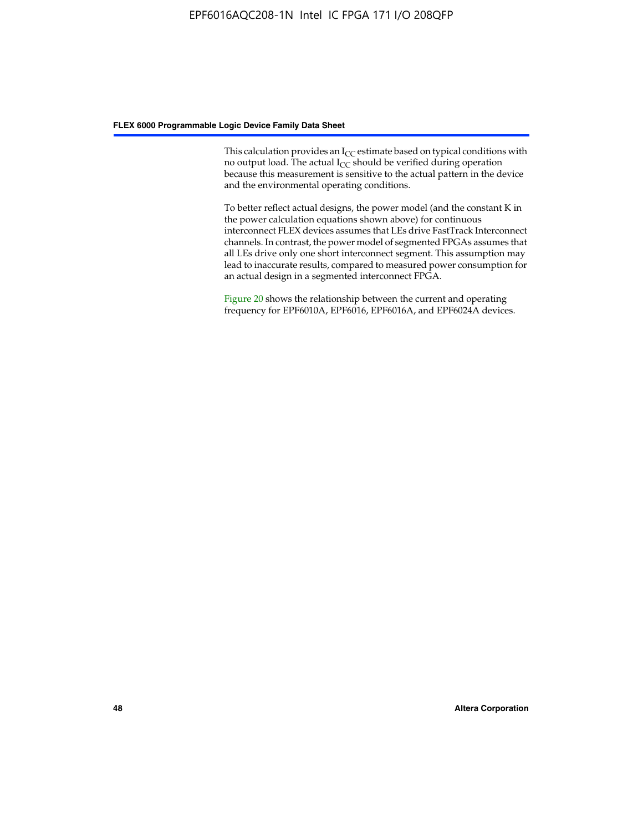This calculation provides an  $I_{CC}$  estimate based on typical conditions with no output load. The actual  $I_{CC}$  should be verified during operation because this measurement is sensitive to the actual pattern in the device and the environmental operating conditions.

To better reflect actual designs, the power model (and the constant K in the power calculation equations shown above) for continuous interconnect FLEX devices assumes that LEs drive FastTrack Interconnect channels. In contrast, the power model of segmented FPGAs assumes that all LEs drive only one short interconnect segment. This assumption may lead to inaccurate results, compared to measured power consumption for an actual design in a segmented interconnect FPGA.

Figure 20 shows the relationship between the current and operating frequency for EPF6010A, EPF6016, EPF6016A, and EPF6024A devices.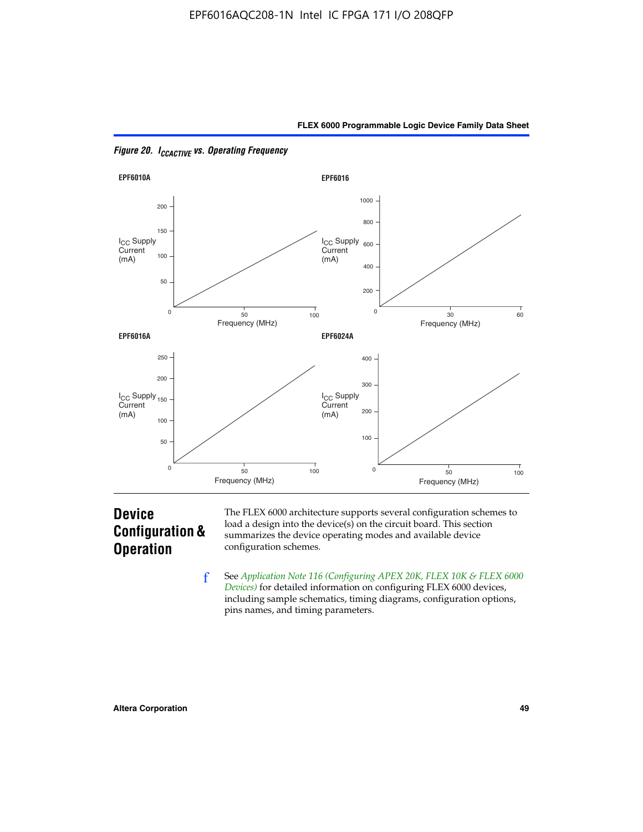



*Figure 20. ICCACTIVE vs. Operating Frequency* 

# **Device Configuration & Operation**

The FLEX 6000 architecture supports several configuration schemes to load a design into the device(s) on the circuit board. This section summarizes the device operating modes and available device configuration schemes.

f See *[Application Note 116 \(Configuring APEX 20K, FLEX 10K & FLEX 6000](http://www.altera.com/literature/an/an116.pdf)  [Devices\)](http://www.altera.com/literature/an/an116.pdf)* for detailed information on configuring FLEX 6000 devices, including sample schematics, timing diagrams, configuration options, pins names, and timing parameters.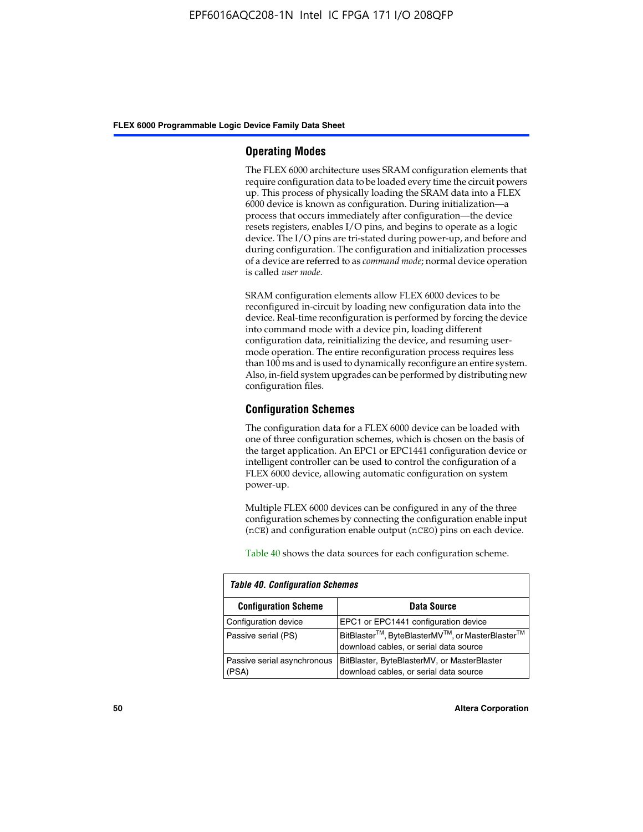#### **Operating Modes**

The FLEX 6000 architecture uses SRAM configuration elements that require configuration data to be loaded every time the circuit powers up. This process of physically loading the SRAM data into a FLEX 6000 device is known as configuration. During initialization—a process that occurs immediately after configuration—the device resets registers, enables I/O pins, and begins to operate as a logic device. The I/O pins are tri-stated during power-up, and before and during configuration. The configuration and initialization processes of a device are referred to as *command mode*; normal device operation is called *user mode*.

SRAM configuration elements allow FLEX 6000 devices to be reconfigured in-circuit by loading new configuration data into the device. Real-time reconfiguration is performed by forcing the device into command mode with a device pin, loading different configuration data, reinitializing the device, and resuming usermode operation. The entire reconfiguration process requires less than 100 ms and is used to dynamically reconfigure an entire system. Also, in-field system upgrades can be performed by distributing new configuration files.

### **Configuration Schemes**

The configuration data for a FLEX 6000 device can be loaded with one of three configuration schemes, which is chosen on the basis of the target application. An EPC1 or EPC1441 configuration device or intelligent controller can be used to control the configuration of a FLEX 6000 device, allowing automatic configuration on system power-up.

Multiple FLEX 6000 devices can be configured in any of the three configuration schemes by connecting the configuration enable input (nCE) and configuration enable output (nCEO) pins on each device.

Table 40 shows the data sources for each configuration scheme.

| <b>Table 40. Configuration Schemes</b> |                                                                                                                                |  |  |  |
|----------------------------------------|--------------------------------------------------------------------------------------------------------------------------------|--|--|--|
| <b>Configuration Scheme</b>            | Data Source                                                                                                                    |  |  |  |
| Configuration device                   | EPC1 or EPC1441 configuration device                                                                                           |  |  |  |
| Passive serial (PS)                    | BitBlaster <sup>™</sup> , ByteBlasterMV <sup>™</sup> , or MasterBlaster <sup>™</sup><br>download cables, or serial data source |  |  |  |
| Passive serial asynchronous<br>(PSA)   | BitBlaster, ByteBlasterMV, or MasterBlaster<br>download cables, or serial data source                                          |  |  |  |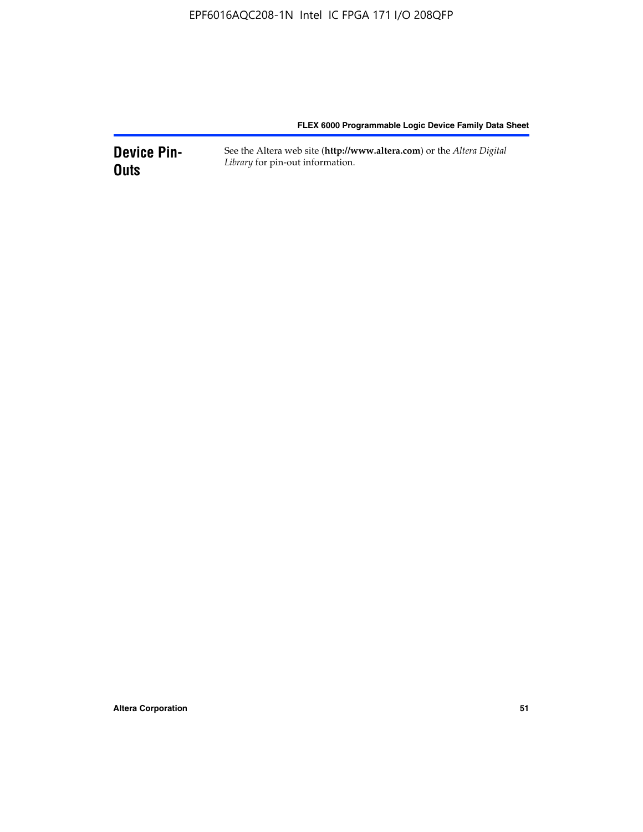**Device Pin-Outs** See the Altera web site (**http://www.altera.com**) or the *Altera Digital Library* for pin-out information.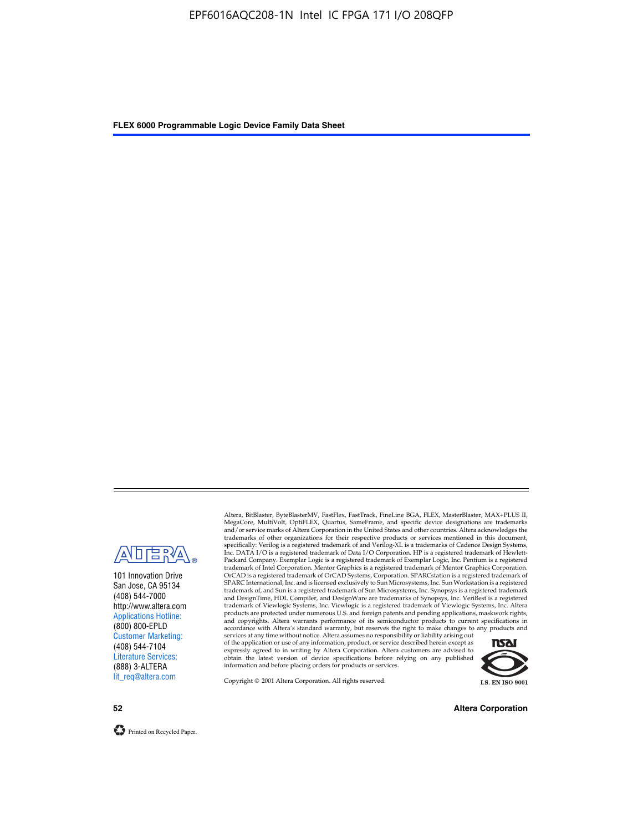

101 Innovation Drive San Jose, CA 95134 (408) 544-7000 http://www.altera.com Applications Hotline: (800) 800-EPLD Customer Marketing: (408) 544-7104 Literature Services: (888) 3-ALTERA lit\_req@altera.com

Altera, BitBlaster, ByteBlasterMV, FastFlex, FastTrack, FineLine BGA, FLEX, MasterBlaster, MAX+PLUS II, MegaCore, MultiVolt, OptiFLEX, Quartus, SameFrame, and specific device designations are trademarks and/or service marks of Altera Corporation in the United States and other countries. Altera acknowledges the trademarks of other organizations for their respective products or services mentioned in this document, specifically: Verilog is a registered trademark of and Verilog-XL is a trademarks of Cadence Design Systems,<br>Inc. DATA I/O is a registered trademark of Data I/O Corporation. HP is a registered trademark of Hewlett-<br>Packard trademark of Intel Corporation. Mentor Graphics is a registered trademark of Mentor Graphics Corporation. OrCAD is a registered trademark of OrCAD Systems, Corporation. SPARCstation is a registered trademark of SPARC International, Inc. and is licensed exclusively to Sun Microsystems, Inc. Sun Workstation is a registered trademark of, and Sun is a registered trademark of Sun Microsystems, Inc. Synopsys is a registered trademark and DesignTime, HDL Compiler, and DesignWare are trademarks of Synopsys, Inc. VeriBest is a registered<br>trademark of Viewlogic Systems, Inc. Viewlogic is a registered trademark of Viewlogic Systems, Inc. Altera<br>products are

of the application or use of any information, product, or service described herein except as<br>expressly agreed to in writing by Altera Corporation. Altera customers are advised to<br>obtain the latest version of device specifi



Copyright © 2001 Altera Corporation. All rights reserved.

**52 Altera Corporation**

Printed on Recycled Paper.